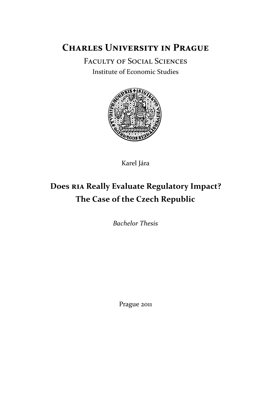# **Charles University in Prague**

Faculty of Social Sciences

Institute of Economic Studies



Karel Jára

# **Does RIA Really Evaluate Regulatory Impact? The Case of the Czech Republic**

*Bachelor Thesis*

Prague 2011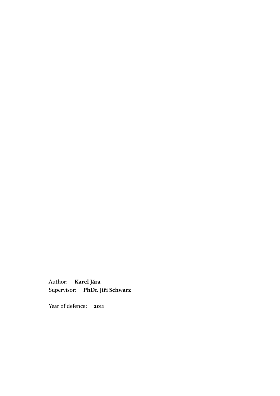Author: **Karel Jára** Supervisor: **PhDr. Jiří Schwarz**

Year of defence: 2011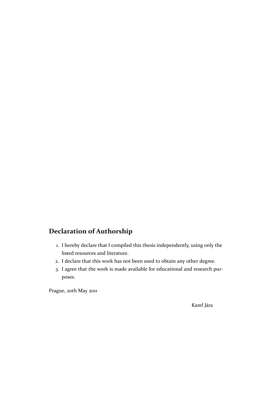# **Declaration of Authorship**

- 1. I hereby declare that I compiled this thesis independently, using only the listed resources and literature.
- 2. I declare that this work has not been used to obtain any other degree.
- 3. I agree that the work is made available for educational and research purposes.

Prague, 20th May 2011

Karel Jára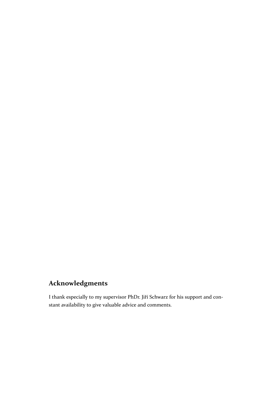# **Acknowledgments**

I thank especially to my supervisor PhDr. Jiří Schwarz for his support and constant availability to give valuable advice and comments.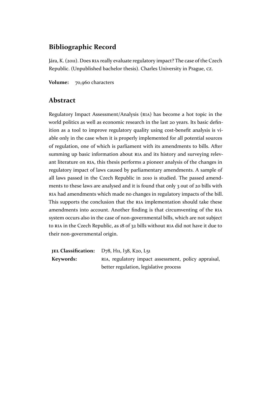## **Bibliographic Record**

Jára, K. (2011). Does RIA really evaluate regulatory impact? The case of the Czech Republic. (Unpublished bachelor thesis). Charles University in Prague, CZ.

**Volume:** 70,960 [char](#page-8-0)acters

## **Abstract**

Regulatory Impact Assessment/Analysis (RIA) has become a hot topic in the world politics as well as economic research in the last 20 years. Its basic definition as a tool to improve regulatory quality using cost-benefit analysis is vi[able only in the case when it is properly imple](#page-8-0)mented for all potential sources of regulation, one of which is parliament with its amendments to bills. After summing up basic information about RIA and its history and surveying relevant literature on RIA, this thesis performs a pioneer analysis of the changes in regulatory impact of laws caused by parliamentary amendments. A sample of all laws passed in the Czech Republic [in](#page-8-0) 2010 is studied. The passed amendments to these la[ws a](#page-8-0)re analysed and it is found that only 3 out of 20 bills with RIA had amendments which made no changes in regulatory impacts of the bill. This supports the conclusion that the RIA implementation should take these amendments into account. Another finding is that circumventing of the RIA [syst](#page-8-0)em occurs also in the case of non-governmental bills, which are not subject to RIA in the Czech Republic, as 18 of 3[2 bil](#page-8-0)ls without RIA did not have it due to their non-governmental origin.

**J[EL](#page-8-0) Classification:** D78, H11, I38, K20, L51 **Keywords:** RIA, regulatory impact assessment, policy appraisal, better regulation, legislative process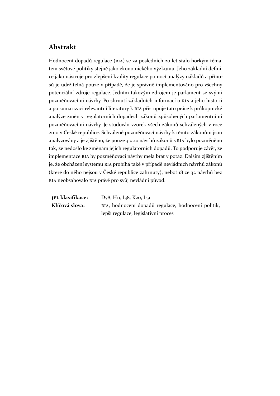## **Abstrakt**

Hodnocení dopadů regulace (RIA) se za posledních 20 let stalo horkým tématem světové politiky stejně jako ekonomického výzkumu. Jeho základní definice jako nástroje pro zlepšení kvality regulace pomocí analýzy nákladů a přínosů je udržitelná pouze v příp[adě,](#page-8-0) že je správně implementováno pro všechny potenciální zdroje regulace. Jedním takovým zdrojem je parlament se svými pozměňovacími návrhy. Po shrnutí základních informací o RIA a jeho historii a po sumarizaci relevantní literatury k RIA přistupuje tato práce k průkopnické analýze změn v regulatorních dopadech zákonů způsobených parlamentními pozměňovacími návrhy. Je studován vzorek všech zákonů [schv](#page-8-0)álených v roce 2010 v České republice. Schválené poz[měň](#page-8-0)ovací návrhy k těmto zákonům jsou analyzovány a je zjištěno, že pouze 3 z 20 návrhů zákonů s RIA bylo pozměněno tak, že nedošlo ke změnám jejich regulatorních dopadů. To podporuje závěr, že implementace RIA by pozměňovací návrhy měla brát v potaz. Dalším zjištěním je, že obcházení systému RIA probíhá také v případě nevlá[dníc](#page-8-0)h návrhů zákonů (které do něho nejsou v České republice zahrnuty), neboť 18 ze 32 návrhů bez RIA neobsahov[alo](#page-8-0) RIA právě pro svůj nevládní původ.

**JEL klasifikace:** D78, H11, I38, K20, L51 **[Kl](#page-8-0)íčová slova:** RIA, hodnocení dopadů regulace, hodnocení politik, lepší regulace, legislativní proces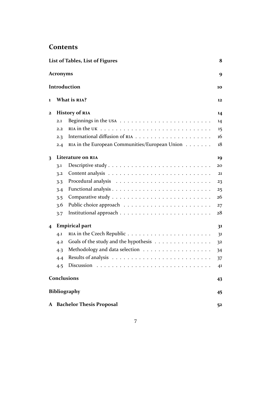## **Contents**

|              |                 | List of Tables, List of Figures                                                               | 8  |
|--------------|-----------------|-----------------------------------------------------------------------------------------------|----|
|              | <b>Acronyms</b> |                                                                                               | 9  |
|              |                 | Introduction                                                                                  | 10 |
| 1            |                 | What is RIA?                                                                                  | 12 |
| $\mathbf{2}$ |                 | <b>History of RIA</b>                                                                         | 14 |
|              | 2.1             | Beginnings in the USA $\ldots \ldots \ldots \ldots \ldots \ldots \ldots$                      | 14 |
|              | 2.2             | RIA in the UK $\dots \dots \dots \dots \dots \dots \dots \dots \dots \dots \dots \dots \dots$ | 15 |
|              | 2.3             |                                                                                               | 16 |
|              | 2.4             | RIA in the European Communities/European Union                                                | 18 |
| 3            |                 | Literature on RIA                                                                             | 19 |
|              | 3.1             |                                                                                               | 20 |
|              | 3.2             |                                                                                               | 21 |
|              | 3.3             |                                                                                               | 23 |
|              | 3.4             |                                                                                               | 25 |
|              | 3.5             |                                                                                               | 26 |
|              | 3.6             |                                                                                               | 27 |
|              | 3.7             |                                                                                               | 28 |
| 4            |                 | <b>Empirical part</b>                                                                         | 31 |
|              | 4.1             |                                                                                               | 31 |
|              | 4.2             | Goals of the study and the hypothesis                                                         | 32 |
|              | 4.3             |                                                                                               | 34 |
|              | 4.4             |                                                                                               | 37 |
|              | 4.5             |                                                                                               | 41 |
|              |                 | <b>Conclusions</b>                                                                            | 43 |
|              |                 | <b>Bibliography</b>                                                                           | 45 |
|              |                 | A Bachelor Thesis Proposal                                                                    | 52 |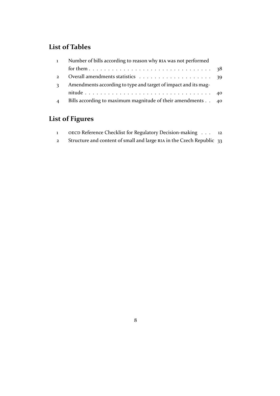# <span id="page-7-0"></span>**List of Tables**

| $\mathbf{1}$   | Number of bills according to reason why RIA was not performed  |  |
|----------------|----------------------------------------------------------------|--|
|                |                                                                |  |
| $\overline{2}$ |                                                                |  |
| $\mathbf{z}$   | Amendments according to type and target of impact and its mag- |  |
|                |                                                                |  |
|                | Bills according to maximum magnitude of their amendments 40    |  |

# **Li[st of Figures](#page-39-0)**

| OECD Reference Checklist for Regulatory Decision-making 12            |  |
|-----------------------------------------------------------------------|--|
| Structure and content of small and large RIA in the Czech Republic 33 |  |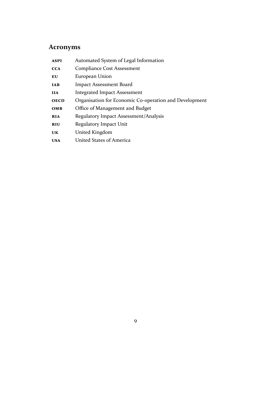# <span id="page-8-0"></span>**Acronyms**

| <b>ASPI</b> | Automated System of Legal Information                  |
|-------------|--------------------------------------------------------|
| <b>CCA</b>  | <b>Compliance Cost Assessment</b>                      |
| EU          | European Union                                         |
| <b>IAB</b>  | <b>Impact Assessment Board</b>                         |
| <b>IIA</b>  | <b>Integrated Impact Assessment</b>                    |
| <b>OECD</b> | Organisation for Economic Co-operation and Development |
| OMB         | Office of Management and Budget                        |
| <b>RIA</b>  | Regulatory Impact Assessment/Analysis                  |
| <b>RIU</b>  | Regulatory Impact Unit                                 |
| <b>UK</b>   | United Kingdom                                         |
| <b>USA</b>  | United States of America                               |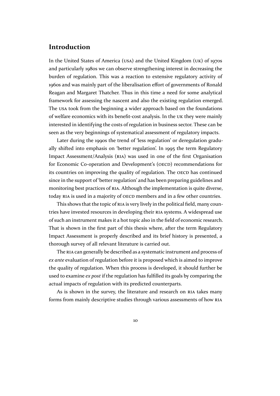### <span id="page-9-0"></span>**Introduction**

In the United States of America (USA) and the United Kingdom (UK) of 1970s and particularly 1980s we can observe strengthening interest in decreasing the burden of regulation. This was a reaction to extensive regulatory activity of 1960s [and was mainly part of the libera](#page-8-0)lisation [effort of governments o](#page-8-0)f Ronald Reagan and Margaret Thatcher. Thus in this time a need for some analytical framework for assessing the nascent and also the existing regulation emerged. The USA took from the beginning a wider approach based on the foundations of welfare economics with its benefit-cost analysis. In the UK they were mainly interested in identifying the costs of regulation in business sector. These can be see[n as t](#page-8-0)he very beginnings of systematical assessment of regulatory impacts.

Later during the 1990s the trend of 'less regulation' o[r de](#page-8-0)regulation gradually shifted into emphasis on 'better regulation'. In 1995 the term Regulatory Impact Assessment/Analysis (RIA) was used in one of the first Organisation for Economic Co-operation and Development's (OECD) recommendations for its countries on improving the quality of regulation. The OECD has [continued](#page-8-0) [since in the support of 'better regula](#page-8-0)tion' and has been preparing g[uidelines and](#page-8-0) [monitoring best practices of](#page-8-0) RIA. Although the implementation is quite diverse, today RIA is used in a majority of OECD members and in a [few ot](#page-8-0)her countries.

This shows that the topic of RIA is very lively in the political field, many countries have invested resources [in d](#page-8-0)eveloping their RIA systems. A widespread use of suc[h an](#page-8-0) instrument makes it a [hot top](#page-8-0)ic also in the field of economic research. That is shown in the first part [of t](#page-8-0)his thesis where, after the term Regulatory Impact Assessment is properly described and i[ts b](#page-8-0)rief history is presented, a thorough survey of all relevant literature is carried out.

The RIA can generally be described as a systematic instrument and process of *ex ante* evaluation of regulation before it is proposed which is aimed to improve the quality of regulation. When this process is developed, it should further be used to [exam](#page-8-0)ine *ex post* if the regulation has fulfilled its goals by comparing the actual impacts of regulation with its predicted counterparts.

As is shown in the survey, the literature and research on RIA takes many forms from mainly descriptive studies through various assessments of how RIA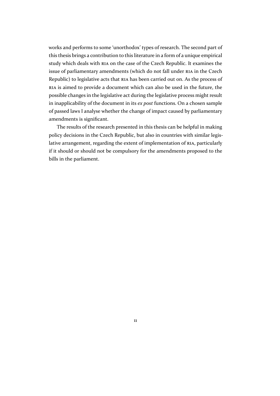works and performs to some 'unorthodox' types of research. The second part of this thesis brings a contribution to this literature in a form of a unique empirical study which deals with RIA on the case of the Czech Republic. It examines the issue of parliamentary amendments (which do not fall under RIA in the Czech Republic) to legislative acts that RIA has been carried out on. As the process of RIA is aimed to provide [a d](#page-8-0)ocument which can also be used in the future, the possible changes in the legislative act during the legislative pr[ocess](#page-8-0) might result in inapplicability of the docume[nt in](#page-8-0) its *ex post* functions. On a chosen sample [of p](#page-8-0)assed laws I analyse whether the change of impact caused by parliamentary amendments is significant.

The results of the research presented in this thesis can be helpful in making policy decisions in the Czech Republic, but also in countries with similar legislative arrangement, regarding the extent of implementation of RIA, particularly if it should or should not be compulsory for the amendments proposed to the bills in the parliament.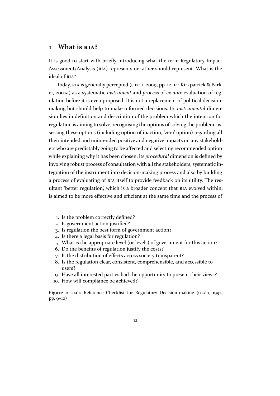### <span id="page-11-0"></span>**1 What is RIA?**

It is good to start with briefly introducing what the term Regulatory Impact Assessment/An[alysis](#page-8-0) (RIA) represents or rather should represent. What is the ideal of RIA?

Today, RIA is generally percepted (OECD, 2009, pp. 12–14; [Kirkpatrick & Park](#page-8-0)er, [2007a\) as a systematic](#page-8-0) *instrument* and *process* of *ex ante* evaluation of regulation [befo](#page-8-0)re it is even proposed. It is not a replacement of political decisionmaking b[ut sh](#page-8-0)ould help to make informed [decis](#page-48-0)ions. Its *instrumental* dimensio[n lies](#page-46-0) in definition and description of the problem which the intention for regulation is aiming to solve, recognising the options of solving the problem, assessing these options (including option of inaction, 'zero' option) regarding all their intended and unintended positive and negative impacts on any stakeholders who are predictably going to be affected and selecting recommended option while explaining why it has been chosen. Its *procedural* dimension is defined by involving robust process of consultation with all the stakeholders, systematic integration of the instrument into decision-making process and also by building a process of evaluating of RIA itself to provide feedback on its utility. The resultant 'better regulation', which is a broader concept that RIA evolved within, is aimed to be more effective and efficient at the same time and the process of

- 1. Is the problem correctly defined?
- 2. Is government action justified?
- 3. Is regulation the best form of government action?
- 4. Is there a legal basis for regulation?
- 5. What is the appropriate level (or levels) of government for this action?
- 6. Do the benefits of regulation justify the costs?
- 7. Is the distribution of effects across society transparent?
- 8. Is the regulation clear, consistent, comprehensible, and accessible to users?
- 9. Have all interested parties had the opportunity to present their views?
- 10. How will compliance be achieved?

Figure 1: OECD Reference Checklist for Regulatory Decision-making (OECD, 1995, pp. 9–10)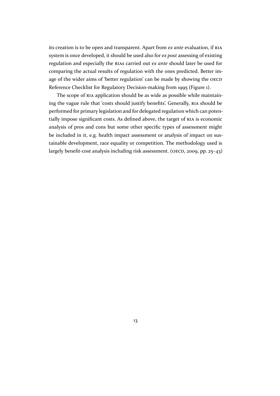its creation is to be open and transparent. Apart from *ex ante* evaluation, if RIA system is once developed, it should be used also for *ex post* assessing of existing regulation and especially the RIAs carried out *ex ante* should later be used for comparing the actual results of regulation with the ones predicted. Better [im](#page-8-0)age of the wider aims of 'better regulation' can be made by showing the OECD Reference Checklist for Regul[atory](#page-8-0) Decision-making from 1995 (Figure 1).

The scope of RIA application should be as wide as possible while maintaining the vague rule that 'costs should justify benefits'. Generally, RIA sho[uld be](#page-8-0) performed for primary legislation and for delegated regulation w[hich can](#page-11-0) potentially impose sig[nific](#page-8-0)ant costs. As defined above, the target of RIA is economic analysis of pros and cons but some other specific types of asse[ssm](#page-8-0)ent might be included in it, e.g. health impact assessment or analysis of impact on sustainable development, race equality or competition. The met[hodo](#page-8-0)logy used is largely benefit-cost analysis including risk assessment. (OECD, 2009, pp. 25–43)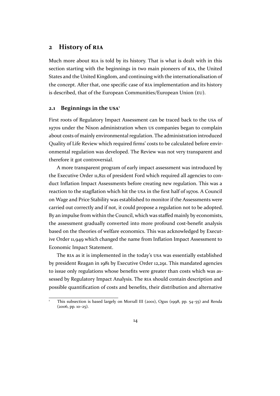### <span id="page-13-0"></span>**2 History of RIA**

Much more about RIA is told by its history. That is what is dealt with in this section starting wit[h the](#page-8-0) beginnings in two main pioneers of RIA, the United States and the United Kingdom, and continuing with the internationalisation of the concept. After [that](#page-8-0), one specific case of RIA implementation and its history is described, that of the European Communities/European Un[ion \(](#page-8-0)EU).

#### **2.1 Beginnings in the USA** 1

First roots of Regulatory Impact Assessment ca[n be traced back to the](#page-8-0) USA of 1970s under the Nixon ad[minist](#page-8-0)ration when US companies began to complain about costs of mainly environmental regulation. The administration introduced Quality of Life Review which required firms' costs to be calculated befor[e env](#page-8-0)ironmental regulation was developed. The Review was not very transparent and therefore it got controversial.

A more transparent program of early impact assessment was introduced by the Executive Order 11,821 of president Ford which required all agencies to conduct Inflation Impact Assessments before creating new regulation. This was a reaction to the stagflation which hit the USA in the first half of 1970s. A Council on Wage and Price Stability was established to monitor if the Assessments were carried out correctly and if not, it could propose a regulation not to be adopted. By an impulse from within the Council, [which](#page-8-0) was staffed mainly by economists, the assessment gradually converted into more profound cost-benefit analysis based on the theories of welfare economics. This was acknowledged by Executive Order 11,949 which changed the name from Inflation Impact Assessment to Economic Impact Statement.

The RIA as it is implemented in the today's USA was essentially established by president Reagan in 1981 by Executive Order 12,291. This mandated agencies to issue only regulations whose benefits were greater than costs which was assessed [by Re](#page-8-0)gulatory Impact Analysis. The RIA [shou](#page-8-0)ld contain description and possible quantification of costs and benefits, their distribution and alternative

This subsection is based largely on Morrall III [\(200](#page-8-0)1), Ogus (1998, pp.  $54-55$ ) and Renda  $(2006, pp. 10-25)$ .

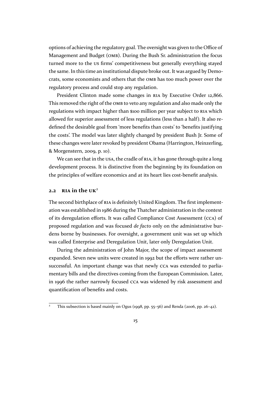options of achieving the regulatory goal. The oversight was given to the Office of Management and Budget (OMB). During the Bush Sr. administration the focus turned more to the US firms' competitiveness but generally everything stayed the same. In this time an institutional dispute broke out. It was argued [by Demo](#page-8-0)[crats, some economists and othe](#page-8-0)rs that the OMB has too much power over the regulatory process and could stop any regulation.

President Clinton made some changes in RIA by Executive Order 12,866. This removed the right of the OMB to veto an[y regu](#page-8-0)lation and also made only the regulations with impact higher than \$100 million per year subject to RIA which allowed for superior assessment of less regulat[ions](#page-8-0) (less than a half). It also redefined the desirable goal fr[om 'm](#page-8-0)ore benefits than costs' to 'benefits justifying the costs'. The model was later slightly changed by president Bush J[r. So](#page-8-0)me of these changes were later revoked by president Obama (Harrington, Heinzerling, & Morgenstern, 2009, p. 10).

We can see that in the USA, the cradle of RIA, it has gone through quite a long development process. It is distinctive from the beginning by its foundation on the principles o[f welfa](#page-45-0)re economics and at its heart lies cost-benefit analysis.

#### **2.2 RIA in the UK** 2

The second birthplace of RIA is definitely United Kingdom. The first implementation [was](#page-8-0) establis[hed](#page-8-0) in 1986 during the Thatcher administration in the context of its deregulation efforts. It was called Compliance Cost Assessment (CCA) of proposed regulation and [wa](#page-8-0)s focused *de facto* only on the administrative burdens borne by businesses. For oversight, a government unit was set up which was called Enterprise and Deregulation [Unit, later only Deregulation Unit.](#page-8-0)

During the administration of John Major, the scope of impact assessment expanded. Seven new units were created in 1992 but the efforts were rather unsuccessful. An important change was that newly CCA was extended to parliamentary bills and the directives coming from the European Commission. Later, in 1996 the rather narrowly focused CCA was widened by risk assessment and quantification of benefits and costs.

This subsection is based mainly on Ogu[s \(199](#page-8-0)8, pp. 55–56) and Renda (2006, pp. 26–42).

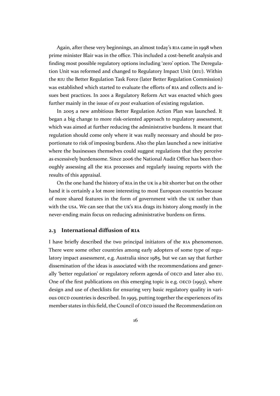<span id="page-15-0"></span>Again, after these very beginnings, an almost today's RIA came in 1998 when prime minister Blair was in the office. This included a cost-benefit analysis and finding most possible regulatory options including 'zero' option. The Deregulation Unit was reformed and changed to Regulatory Im[pact](#page-8-0) Unit (RIU). Within the RIU the Better Regulation Task Force (later Better Regulation Commission) was established which started to evaluate the efforts of RIA and collects and issues best practices. In 2001 a Regulator[y Reform Act was enacted wh](#page-8-0)ich goes furt[her](#page-8-0) mainly in the issue of *ex post* evaluation of existing regulation.

In 2005 a new ambitious Better Regulation Action [Pla](#page-8-0)n was launched. It began a big change to more risk-oriented approach to regulatory assessment, which was aimed at further reducing the administrative burdens. It meant that regulation should come only where it was really necessary and should be proportionate to risk of imposing burdens. Also the plan launched a new initiative where the businesses themselves could suggest regulations that they perceive as excessively burdensome. Since 2006 the National Audit Office has been thoroughly assessing all the RIA processes and regularly issuing reports with the results of this appraisal.

On the one hand the history of RIA in the UK is a bit shorter but on the other hand it is certainly a lot [mor](#page-8-0)e interesting to most European countries because of more shared features in the form of government with the UK rather than with the USA. We can see that the [UK's](#page-8-0) RIA d[rags](#page-8-0) its history along mostly in the never-ending main focus on reducing administrative burdens on firms.

#### **2.3 In[tern](#page-8-0)ational diffusion [of](#page-8-0) [RIA](#page-8-0)**

I have briefly described the two principal initiators of the RIA phenomenon. There were some other countries among early adopters of some type of regulatory impact assessment, e.g. Austr[alia s](#page-8-0)ince 1985, but we can say that further dissemination of the ideas is associated with the recommen[dati](#page-8-0)ons and generally 'better regulation' or regulatory reform agenda of OECD and later also EU. One of the first publications on this emerging topic is e.g. OECD (1993), where design and use of checklists for ensuring very basic regulatory quality in various OECD countries is described. In 1995, putting toget[her the](#page-8-0) experiences of [its](#page-8-0) member states in this field, the Council of OECD issued the Recom[menda](#page-47-0)tion on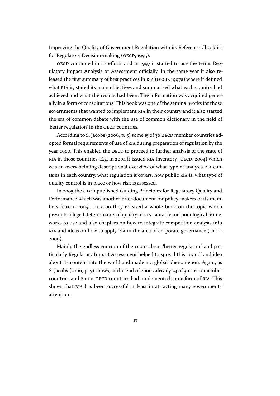Improving the Quality of Government Regulation with its Reference Checklist for Regulatory Decision-making (OECD, 1995).

OECD continued in its efforts and in 1997 it started to use the terms Regulatory Impact Analysis or Assessment officially. In the same year it also released the first summary of best practic[es in](#page-47-0) RIA (OECD, 1997a) where it defined what [RIA](#page-8-0) is, stated its main objectives and summarised what each country had achieved and what the results had been. The information was acquired generally in a form of consultations. This book wa[s one](#page-8-0) of the [semin](#page-48-0)al works for those gover[nm](#page-8-0)ents that wanted to implement RIA in their country and it also started the era of common debate with the use of common dictionary in the field of 'better regulation' in the OECD countries.

According to S. Jacobs (2006, p. 5) so[me 1](#page-8-0)5 of 30 OECD member countries adopted formal requirements of use of RIA during preparation of regulation by the year 2000. This enabled [the](#page-8-0) OECD to proceed to further analysis of the state of RIA in those countries. E.g. [in 20](#page-46-0)04 it issued RIA In[ventor](#page-8-0)y (OECD, 2004) which was an overwhelming descriptional [ove](#page-8-0)rview of what type of analysis RIA contains in each country, what [regulat](#page-8-0)ion it covers, how public RIA is, what type of [qua](#page-8-0)lity control is in place or how risk is asse[ssed](#page-8-0).

In 2005 the OECD published Guiding Principles for Regulatory Qu[ality](#page-8-0) and Performance which was another brief document for policy-[mak](#page-8-0)ers of its members (OECD, 2005). In 2009 they released a whole book on the topic which presents allege[d deter](#page-8-0)minants of quality of RIA, suitable methodological frameworks to use and also chapters on how to integrate competition analysis into RIA and idea[s on h](#page-48-0)ow to apply RIA in the area of corporate governance (OECD, 2009).

Mainly the endless concern of the OECD about 'better regulation' and par[ticu](#page-8-0)larly Regulatory Impact As[sessm](#page-8-0)ent helped to spread this 'brand' and idea [abou](#page-48-0)t its content into the world and made it a global phenomenon. Again, as S. Jacobs (2006, p. 5) shows, at the end [of 200](#page-8-0)0s already 23 of 30 OECD member countries and 8 non-OECD countries had implemented some form of RIA. This shows that RIA has been successful at least in attracting many governments' attention.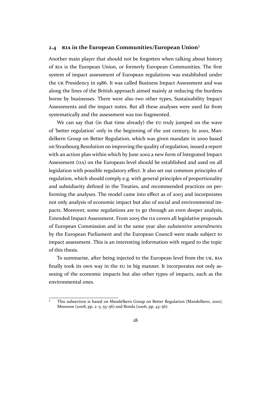#### <span id="page-17-0"></span>**2.4 RIA in the European Communities/European Union**<sup>3</sup>

Another main player that should not be forgotten when talking about history of RIA is the European Union, or formerly European Communities. The first syste[m of](#page-8-0) impact assessment of European regulations was established under the UK Presidency in 1986. It was called Business Impact Assessment and was al[ong](#page-8-0) the lines of the British approach aimed mainly at reducing the burdens borne by businesses. There were also two other types, Sustainability Impact Ass[essm](#page-8-0)ents and the impact notes. But all these analyses were used far from systematically and the assessment was too fragmented.

We can say that (in that time already) the EU truly jumped on the wave of 'better regulation' only in the beginning of the 21st century. In 2001, Mandelkern Group on Better Regulation, which was given mandate in 2000 based on Strasbourg Resolution on improving the quali[ty o](#page-8-0)f regulation, issued a report with an action plan within which by June 2002 a new form of Integrated Impact Assessment (IIA) on the European level should be established and used on all legislation with possible regulatory effect. It also set out common principles of regulation, which should comply e.g. with general principles [of proportionality](#page-8-0) [and subsidiarity](#page-8-0) defined in the Treaties, and recommended practices on performing the analyses. The model came into effect as of 2003 and incorporates not only analysis of economic impact but also of social and environmental impacts. Moreover, some regulations are to go through an even deeper analysis, Extended Impact Assessment. From 2005 the IIA covers all legislative proposals of European Commission and in the same year also *substantive amendments* by the European Parliament and the European Council were made subject to impact assessment. This is an interesting inf[orm](#page-8-0)ation with regard to the topic of this thesis.

To summarise, after being injected to the European level from the UK, RIA finally took its own way in the EU in big manner. It incorporates not only assesing of the economic impacts but also other types of impacts, such as the environmental ones.

<sup>3</sup> This subsection is based on Mandelkern Group on Better Regulation (Mandelkern, 2001), Meuwese (2008, pp. 2–3, 55–56) and Renda (2006, pp. 43–56).

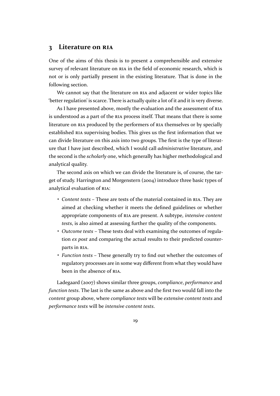#### <span id="page-18-0"></span>**3 Literature on RIA**

One of the aims of this thesis is to present a comprehensible and extensive survey of relevant litera[ture o](#page-8-0)n RIA in the field of economic research, which is not or is only partially present in the existing literature. That is done in the following section.

We cannot say that the lite[ratu](#page-8-0)re on RIA and adjacent or wider topics like 'better regulation' is scarce. There is actually quite a lot of it and it is very diverse.

As I have presented above, mostly the evaluation and the assessment of RIA is understood as a part of the RIA proces[s itse](#page-8-0)lf. That means that there is some literature on RIA produced by the performers of RIA themselves or by specially established RIA supervising bodies. This gives us the first information that [we](#page-8-0) can divide literature on this a[xis i](#page-8-0)nto two groups. The first is the type of literature that I ha[ve ju](#page-8-0)st described, which I would call *[adm](#page-8-0)inistrative* literature, and the second [is th](#page-8-0)e *scholarly* one, which generally has higher methodological and analytical quality.

The second axis on which we can divide the literature is, of course, the target of study. Harrington and Morgenstern (2004) introduce three basic types of analytical evaluation of RIA:

- *Content tests* These are tests of the material contained in RIA. They are aimed at checking whether it meet[s the](#page-45-0) defined guidelines or whether appropriate comp[one](#page-8-0)nts of RIA are present. A subtype, *intensive content tests*, is also aimed at assessing further the quality of the c[ompo](#page-8-0)nents.
- *Outcome tests* These tests deal with examining the outcomes of regulation *ex post* and comparing [the](#page-8-0) actual results to their predicted counterparts in RIA.
- *Function tests* These generally try to find out whether the outcomes of regulatory processes are in some way different from what they would have been in [the](#page-8-0) absence of RIA.

Ladegaard (2007) shows similar three groups, *compliance*, *performance* and *function tests*. The last is the same as above and the first two would fall into the *content* group above, where *[com](#page-8-0)pliance tests* will be *extensive content tests* and *performance te[sts](#page-47-0)* will be *intensive content tests*.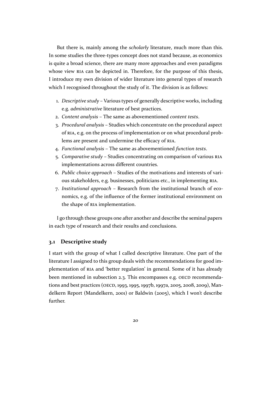<span id="page-19-0"></span>But there is, mainly among the *scholarly* literature, much more than this. In some studies the three-types concept does not stand because, as economics is quite a broad science, there are many more approaches and even paradigms whose view RIA can be depicted in. Therefore, for the purpose of this thesis, I introduce my own division of wider literature into general types of research which I recognised throughout the study of it. The division is as follows:

- 1. *Descriptive study* Various types of generally descriptive works, including e.g. *administrative* literature of best practices.
- 2. *Content analysis* The same as abovementioned *content tests*.
- 3. *Procedural analysis* Studies which concentrate on the procedural aspect of RIA, e.g. on the process of implementation or on what procedural problems are present and undermine the efficacy of RIA.
- 4. *Functional analysis* The same as abovementioned *function tests*.
- 5. *C[ompa](#page-8-0)rative study* Studies concentrating on comparison of various RIA implementations across different countries.
- 6. *Public choice approach* Studies of the motivations and interests of various stakeholders, e.g. businesses, politicians etc., in implementing RI[A.](#page-8-0)
- 7. *Institutional approach* Research from the institutional branch of economics, e.g. of the influence of the former institutional environment on the shape of RIA implementation.

I go through these groups one after another and describe the seminal papers in each type of res[earc](#page-8-0)h and their results and conclusions.

#### **3.1 Descriptive study**

I start with the group of what I called descriptive literature. One part of the literature I assigned to this group deals with the recommendations for good implementation of RIA and 'better regulation' in general. Some of it has already been mentioned in subsection 2.3. This encompasses e.g. OECD recommendations and best practices (OECD, 1993, 1995, 1997b, 1997a, 2005, 2008, 2009), Mandelkern Report ([Man](#page-8-0)delkern, 2001) or Baldwin (2005), which I won't describe further.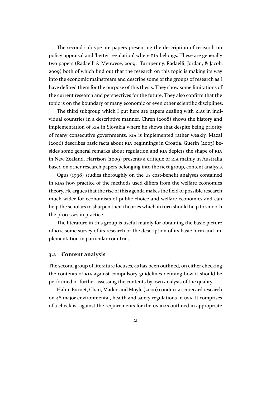<span id="page-20-0"></span>The second subtype are papers presenting the description of research on policy appraisal and 'better regulation', where RIA belongs. These are generally two papers (Radaelli & Meuwese, 2009; Turnpenny, Radaelli, Jordan, & Jacob, 2009) both of which find out that the research on this topic is making its way into the economic mainstream and describe s[ome](#page-8-0) of the groups of research as I have defined them for the purpose [of thi](#page-49-0)s thesis. They show some limitations of [the cu](#page-49-0)rrent research and perspectives for the future. They also confirm that the topic is on the boundary of many economic or even other scientific disciplines.

The third subgroup which I put here are papers dealing with RIAs in individual countries in a descriptive manner. Chren (2008) shows the history and implementation of RIA in Slovakia where he shows that despite being priority of many consecutive governments, RIA is implemented rather w[eakly](#page-8-0). Mazal (2006) describes basic facts about RIA beginnings [in Cr](#page-44-0)oatia. Guerin (2003) besides some general [rem](#page-8-0)arks about regulation and RIA depicts the shape of RIA in New Zealand. Harrison (2009) pr[esen](#page-8-0)ts a critique of RIA mainly in Australia [based](#page-47-0) on other research papers be[long](#page-8-0)ing into the next group, conten[t anal](#page-44-0)ysis.

Ogus (1998) studies thoroughly on the US cos[t-be](#page-8-0)nefit analyses contai[ned](#page-8-0) in RIAs how practice of th[e meth](#page-45-0)ods used differs from [the](#page-8-0) welfare economics theory. He argues that the rise of this agenda makes the field of possible research much wid[er fo](#page-48-0)r economists of public choice and welfare economics and can he[lp th](#page-8-0)e scholars to sharpen their theories which in turn should help to smooth the processes in practice.

The literature in this group is useful mainly for obtaining the basic picture of RIA, some survey of its research or the description of its basic form and implementation in particular countries.

#### **3.[2 C](#page-8-0)ontent analysis**

The second group of literature focuses, as has been outlined, on either checking the contents of RIA against compulsory guidelines defining how it should be performed or further assessing the contents by own analysis of the quality.

Hahn, Burnet, Chan, Mader, and Moyle (2000) conduct a scorecard research on 48 major en[viron](#page-8-0)mental, health and safety regulations in USA. It comprises of a checklist against the requirements for the US RIAs outlined in appropriate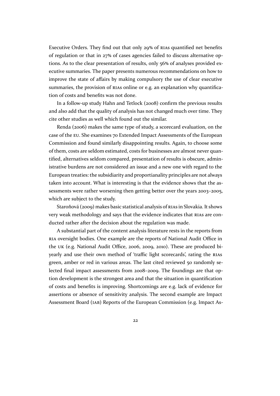Executive Orders. They find out that only 29**%** of RIAs quantified net benefits of regulation or that in 27**%** of cases agencies failed to discuss alternative options. As to the clear presentation of results, only 56**%** of analyses provided executive summaries. The paper presents numerous [recom](#page-8-0)mendations on how to improve the state of affairs by making compulsory the use of clear executive summaries, the provision of RIAs online or e.g. an explanation why quantification of costs and benefits was not done.

In a follow-up study Hahn and Tetlock (2008) confirm the previous results and also add that the quality [of an](#page-8-0)alysis has not changed much over time. They cite other studies as well which found out the similar.

Renda (2006) makes the same type of st[udy, a](#page-45-0) scorecard evaluation, on the case of the EU. She examines 70 Extended Impact Assessments of the European Commission and found similarly disappointing results. Again, to choose some of them, co[sts are](#page-49-0) seldom estimated, costs for businesses are almost never quantified, alter[nat](#page-8-0)ives seldom compared, presentation of results is obscure, administrative burdens are not considered an issue and a new one with regard to the European treaties: the subsidiarity and proportianality principles are not always taken into account. What is interesting is that the evidence shows that the assessments were rather worsening then getting better over the years 2003–2005, which are subject to the study.

Staroňová (2009) makes basic statistical analysis of RIAs in Slovakia. It shows very weak methodology and says that the evidence indicates that RIAs are conducted rather after the decision about the regulation was made.

A substant[ial par](#page-49-0)t of the content analysis literatur[e rests](#page-8-0) in the reports from RIA oversight bodies. One example are the reports of National A[udit O](#page-8-0)ffice in the UK (e.g. National Audit Office, 2006, 2009, 2010). These are produced biyearly and use their own method of 'traffic light scorecards', rating the RIAs [gree](#page-8-0)n, amber or red in various areas. The last cited reviewed 50 randomly select[ed](#page-8-0) final impact assessments fro[m 20](#page-47-0)0[8–2009. Th](#page-47-0)e foundings are that option development is the strongest area and that the situation in quantific[ation](#page-8-0) of costs and benefits is improving. Shortcomings are e.g. lack of evidence for assertions or absence of sensitivity analysis. The second example are Impact Assessment Board (IAB) Reports of the European Commission (e.g. Impact As-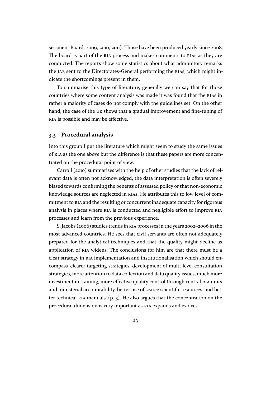<span id="page-22-0"></span>sessment Board, 2009, 2010, 2011). Those have been produced yearly since 2008. The board is part of the RIA process and makes comments to RIAs as they are conducted. The reports show some statistics about what admonitory remarks the IAB sent to t[he Di](#page-45-0)r[ectorates-](#page-45-0)General performing the RIAs, which might indicate the shortcomings [pres](#page-8-0)ent in them.

To summarise this type of literature, generally we can say that for those cou[ntri](#page-8-0)es where some content analysis was made it was [found](#page-8-0) that the RIAs in rather a majority of cases do not comply with the guidelines set. On the other hand, the case of the UK shows that a gradual improvement and fine-tuning of RIA is possible and may be effective.

#### **3.3 Procedural a[nal](#page-8-0)ysis**

[Into](#page-8-0) this group I put the literature which might seem to study the same issues of RIA as the one above but the difference is that these papers are more concentrated on the procedural point of view.

Carroll (2010) summarises with the help of other studies that the lack of relev[ant](#page-8-0) data is often not acknowledged, the data interpretation is often severely biased towards confirming the benefits of assessed policy or that non-economic knowledge [sourc](#page-44-0)es are neglected in RIAs. He attributes this to low level of commitment to RIA and the resulting or concurrent inadequate capacity for rigorous analysis in places where RIA is conducted and negligible effort to improve RIA processes and learn from the previo[us ex](#page-8-0)perience.

S. Jacob[s \(20](#page-8-0)06) studies trends in RIA processes in the years 2002–2006 in the most advanced countrie[s. H](#page-8-0)e sees that civil servants are often not adequa[tely](#page-8-0) prepared for the analytical techniques and that the quality might decline as application of [RIA](#page-46-0) widens. The con[clus](#page-8-0)ions for him are that there must be a clear strategy in RIA implementation and institutionalisation which should encompass 'clearer targeting strategies, development of multi-level consultation strategies, mor[e att](#page-8-0)ention to data collection and data quality issues, much more investment in tr[ainin](#page-8-0)g, more effective quality control through central RIA units and ministerial accountability, better use of scarce scientific resources, and better technical RIA manuals' (p. 3). He also argues that the concentration on the procedural dimension is very important as RIA expands and evolves.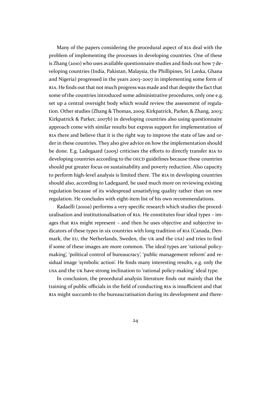Many of the papers considering the procedural aspect of RIA deal with the problem of implementing the processes in developing countries. One of these is Zhang (2010) who uses available questionnaire studies and finds out how 7 developing countries (India, Pakistan, Malaysia, the Phillipines, [Sri](#page-8-0) Lanka, Ghana and Nigeria) progressed in the years 2003–2007 in implementing some form of RIA. He fi[nds o](#page-50-0)ut that not much progress was made and that despite the fact that some of the countries introduced some administrative procedures, only one e.g. set up a central oversight body which would review the assessment of regula[tion](#page-8-0). Other studies (Zhang & Thomas, 2009; Kirkpatrick, Parker, & Zhang, 2003; Kirkpatrick & Parker, 2007b) in developing countries also using questionnaire approach come with similar results but express support for implementation of RIA there and believe that it is the rig[ht way](#page-50-0) to improve the state of law a[nd or](#page-46-0)der in these countries. [They a](#page-46-0)lso give advice on how the implementation should be done. E.g. Ladegaard (2005) criticises the efforts to directly transfer RIA to [dev](#page-8-0)eloping countries according to the OECD guidelines because these countries should put greater focus on sustainability and poverty reduction. Also capacity to perform high-level ana[lysis i](#page-46-0)s limited there. The RIA in developing co[untri](#page-8-0)es should also, according to Ladegaard, [be used](#page-8-0) much more on reviewing existing regulation because of its widespread unsatisfying quality rather than on new regulation. He concludes with eight-item list of his [ow](#page-8-0)n recommendations.

Radaelli (2010a) performs a very specific research which studies the proceduralisation and institutionalisation of RIA. He constitutes four ideal types – images that RIA might represent – and then he uses objective and subjective indicators of t[hese ty](#page-48-0)pes in six countries with long tradition of RIA (Canada, Denmark, the EU, the Netherlands, Swed[en, t](#page-8-0)he UK and the USA) and tries to find if some o[f the](#page-8-0)se images are more common. The ideal types are 'rational policymaking', 'political control of bureaucracy', 'public managem[ent r](#page-8-0)eform' and residual im[age](#page-8-0) 'symbolic action'. He finds man[y in](#page-8-0)terestin[g res](#page-8-0)ults, e.g. only the USA and the UK have strong inclination to 'rational policy-making' ideal type.

In conclusion, the procedural analysis literature finds out mainly that the training of public officials in the field of conducting RIA is insufficient and that [RIA](#page-8-0) might s[uccu](#page-8-0)mb to the bureaucratisation during its development and there-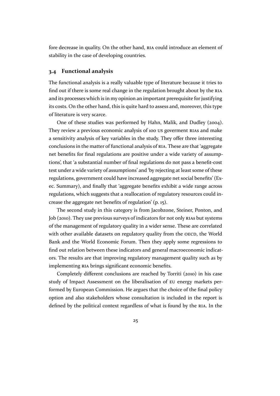<span id="page-24-0"></span>fore decrease in quality. On the other hand, RIA could introduce an element of stability in the case of developing countries.

#### **3.4 Functional analysis**

The functional analysis is a really valuable type of literature because it tries to find out if there is some real change in the regulation brought about by the RIA and its processes which is in my opinion an important prerequisite for justifying its costs. On the other hand, this is quite hard to assess and, moreover, this type of literature is very scarce.

One of these studies was performed by Hahn, Malik, and Dudley (2004). They review a previous economic analysis of 100 US goverment RIAs and make a sensitivity analysis of key variables in the study. They offer three interesting conclusions in the matter of functional analysis of RIA. These are that 'agg[regate](#page-45-0) net benefits for final regulations are positive under a wide var[iety o](#page-8-0)f assumptions', that 'a substantial number of final regulations do not pass a benefit-cost test under a wide variety of assumptions' and 'by r[ejec](#page-8-0)ting at least some of these regulations, government could have increased aggregate net social benefits' (Exec. Summary), and finally that 'aggregate benefits exhibit a wide range across regulations, which suggests that a reallocation of regulatory resources could increase the aggregate net benefits of regulation' (p. 15).

The second study in this category is from Jacobzone, Steiner, Ponton, and Job (2010). They use previous surveys of indicators for not only RIAs but systems of the management of regulatory quality in a wider sense. These are correlated with other available datasets on regulatory quality from the OECD, the World Ban[k and](#page-46-0) the World Economic Forum. Then they apply so[me re](#page-8-0)gressions to find out relation between these indicators and general macroeconomic indicators. The results are that improving regulatory management [quality](#page-8-0) such as by implementing RIA brings significant economic benefits.

Completely different conclusions are reached by Torriti (2010) in his case study of Impact Assessment on the liberalisation of EU energy markets performed by Eur[opea](#page-8-0)n Commission. He argues that the choice of the final policy option and also stakeholders whose consultation is include[d in t](#page-49-0)he report is defined by the political context regardless of what is [foun](#page-8-0)d by the RIA. In the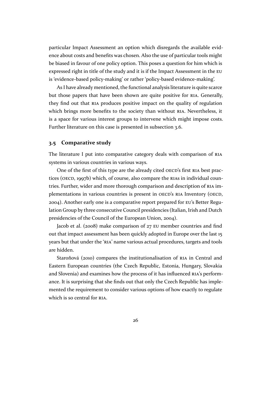particular Impact Assessment an option which disregards the available evidence about costs and benefits was chosen. Also the use of particular tools might be biased in favour of one policy option. This poses a question for him which is expressed right in title of the study and it is if the Impact Assessment in the EU is 'evidence-based policy-making' or rather 'policy-based evidence-making'.

As I have already mentioned, the functional analysis literature is quite scarce but those papers that have been shown are quite positive for RIA. Gener[ally,](#page-8-0) they find out that RIA produces positive impact on the quality of regulation which brings more benefits to the society than without RIA. Nevertheless, it is a space for various interest groups to intervene which migh[t im](#page-8-0)pose costs. Further literature o[n th](#page-8-0)is case is presented in subsection 3.6.

#### **3.5 Comparative study**

The literature I put into comparative catego[ry deals with c](#page-26-0)omparison of RIA systems in various countries in various ways.

One of the first of this type are the already cited OECD's first RIA best practices (OECD, 1997b) which, of course, also compare the RIAs in individual c[oun](#page-8-0)tries. Further, wider and more thorough comparison and description of RIA implementations in various countries is present in OE[CD's](#page-8-0) RIA Inv[ento](#page-8-0)ry (OECD, 2004). Anot[her ear](#page-48-0)ly one is a comparative report prepa[red fo](#page-8-0)r EU's Better Regulation Group by three consecutive Council presidencies (Italian, Irish an[d Du](#page-8-0)tch presidencies of the Council of the European Union, [2004\).](#page-8-0)

[Ja](#page-48-0)cob et al. (2008) make comparison of 27 EU member c[ountr](#page-8-0)ies and find out that impact assessment has been quickly adopted in Europe over the last 15 years but that under the 'RIA' name various actual p[rocedu](#page-45-0)res, targets and tools are hidden.

Staroňová (2010) compares the institutionalisation of RIA in Central and Eastern European count[ries](#page-8-0) (the Czech Republic, Estonia, Hungary, Slovakia and Slovenia) and examines how the process of it has influenced RIA's performance. It is surp[rising](#page-49-0) that she finds out that only the Czech [Rep](#page-8-0)ublic has implemented the requirement to consider various options of how exactly to regulate which is so central for RIA.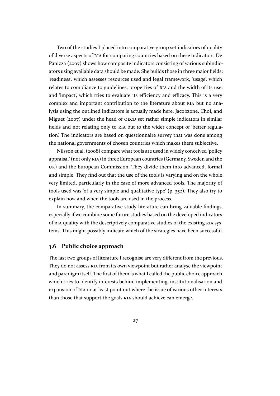<span id="page-26-0"></span>Two of the studies I placed into comparative group set indicators of quality of diverse aspects of RIA for comparing countries based on these indicators. De Panizza (2007) shows how composite indicators consisting of various subindicators using available data should be made. She builds those in three major fields: 'readiness', which as[sess](#page-8-0)es resources used and legal framework, 'usage', which relates t[o com](#page-44-0)pliance to guidelines, properties of RIA and the width of its use, and 'impact', which tries to evaluate its efficiency and efficacy. This is a very complex and important contribution to the literature about RIA but no analysis using the outlined indicators is actually mad[e he](#page-8-0)re. Jacobzone, Choi, and Miguet (2007) under the head of OECD set rather simple indicators in similar fields and not relating only to RIA but to the wider concept [of 'b](#page-8-0)etter regulation'. The indicators are based on questionnaire survey that was done among the nati[onal g](#page-46-0)overnments of chos[en cou](#page-8-0)ntries which makes them subjective.

Nilsson et al. (2008) compar[e wh](#page-8-0)at tools are used in widely conceived 'policy appraisal' (not only RIA) in three European countries (Germany, Sweden and the UK) and the European Commission. They divide them into advanced, formal and simple. They [find](#page-47-0) out that the use of the tools is varying and on the whole very limited, partic[ular](#page-8-0)ly in the case of more advanced tools. The majority of [too](#page-8-0)ls used was 'of a very simple and qualitative type' (p. 352). They also try to explain how and when the tools are used in the process.

In summary, the comparative study literature can bring valuable findings, especially if we combine some future studies based on the developed indicators of RIA quality with the descriptively comparative studies of the existing RIA systems. This might possibly indicate which of the strategies have been successful.

#### **3.[6](#page-8-0) Public choice approach**

The last two groups of literature I recognise are very different from the previous. They do not assess RIA from its own viewpoint but rather analyse the viewpoint and paradigm itself. The first of them is what I called the public choice approach which tries to identify interests behind implementing, institutionalisation and expansion of RIA o[r at](#page-8-0) least point out where the issue of various other interests than those that support the goals RIA should achieve can emerge.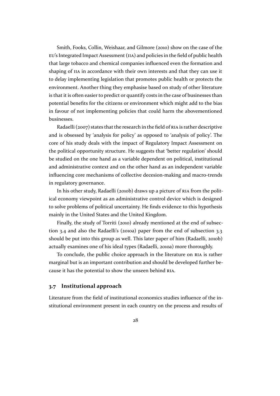<span id="page-27-0"></span>Smith, Fooks, Collin, Weishaar, and Gilmore (2010) show on the case of the EU's Integrated Impact Assessment (IIA) and policies in the field of public health that large tobacco and chemical companies influenced even the formation and shaping of IIA in accordance with their own inte[rests](#page-49-0) and that they can use it [to delay implementing legislation that p](#page-8-0)romotes public health or protects the environment. Another thing they emphasise based on study of other literature is that it is [ofte](#page-8-0)n easier to predict or quantify costs in the case of businesses than potential benefits for the citizens or environment which might add to the bias in favour of not implementing policies that could harm the abovementioned businesses.

Radaelli (2007) states that the research in the field of RIA is rather descriptive and is obsessed by 'analysis for policy' as opposed to 'analysis of policy'. The core of his study deals with the impact of Regulatory Impact Assessment on the political [oppo](#page-48-0)rtunity structure. He suggests that 'b[ette](#page-8-0)r regulation' should be studied on the one hand as a variable dependent on political, institutional and administrative context and on the other hand as an independent variable influencing core mechanisms of collective decesion-making and macro-trends in regulatory governance.

In his other study, Radaelli (2010b) draws up a picture of RIA from the political economy viewpoint as an administrative control device which is designed to solve problems of political uncertainty. He finds evidence to this hypothesis mainly in the United States and [the U](#page-49-0)nited Kingdom.

Finally, the study of Torriti (2010) already mentioned at the end of subsection 3.4 and also the Radaelli's (2010a) paper from the end of subsection 3.3 should be put into this group as well. This later paper of him (Radaelli, 2010b) actually examines one of his ide[al typ](#page-49-0)es (Radaelli, 2010a) more thoroug[hly.](#page-24-0)

[To co](#page-24-0)nclude, the public choi[ce app](#page-48-0)roach in the literature on RIA [is rather](#page-22-0) marginal but is an important contribution and should be developed furt[her be](#page-49-0)cause it has the potential to show the unseen behi[nd](#page-48-0) RIA.

#### **3.7 Institutional approach**

Literature from the field of institutional economics s[tudi](#page-8-0)es influence of the institutional environment present in each country on the process and results of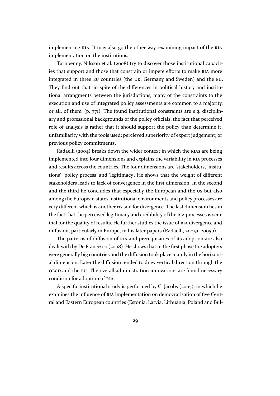implementing RIA. It may also go the other way, examining impact of the RIA implementation on the institutions.

Turnpenny, Nilsson et al. (2008) try to discover those institutional capacities that suppo[rt an](#page-8-0)d those that constrain or impete efforts to make RIA [more](#page-8-0) integrated in three EU countries (the UK, Germany and Sweden) and the EU. They find out that 'in spite o[f the](#page-49-0) differences in political history and institutional arrangments between the jurisdictions, many of the constrai[nts t](#page-8-0)o the execution and use [of in](#page-8-0)tegrated policy [ass](#page-8-0)essments are common to a majo[rity,](#page-8-0) or all, of them' (p. 771). The found institutional constraints are e.g. disciplinary and professional backgrounds of the policy officials; the fact that perceived role of analysis is rather that it should support the policy than determine it; unfamiliarity with the tools used; percieved superiority of expert judgement; or previous policy commitments.

Radaelli (2004) breaks down the wider context in which the RIAs are being implemented into four dimensions and explains the variability in RIA processes and results across the countries. The four dimensions are 'stakeholders', 'insitutions', 'policy [proc](#page-48-0)ess' and 'legitimacy'. He shows that the weig[ht of](#page-8-0) different stakeholders leads to lack of convergence in the first dimension. [In th](#page-8-0)e second and the third he concludes that especially the European and the US but also among the European states institutional environments and policy processes are very different which is another reason for divergence. The last dimension lies in the fact that the perceived legitimacy and credibility of the RIA processes is seminal for the quality of results. He further studies the issue of RIA divergence and diffusion, particularly in Europe, in his later papers (Radaelli, 2005a, 2005b).

The patterns of diffusion of RIA and prerequisities of [its a](#page-8-0)doption are also dealt with by De Francesco (2008). He shows that in the first [pha](#page-8-0)se the adopters were generally big countries and the diffusion took place mainl[y in the horizo](#page-48-0)ntal dimension. Later the diffusio[n ten](#page-8-0)ded to draw vertical direction through the OECD and the EU. The over[all ad](#page-44-0)ministration innovations are found necessary condition for adoption of RIA.

A specific institutional study is performed by C. Jacobs (2005), in which he [exam](#page-8-0)ines the i[nflu](#page-8-0)ence of RIA implementation on democratisation of five Central and Eastern European [cou](#page-8-0)ntries (Estonia, Latvia, Lithuania, Poland and Bul-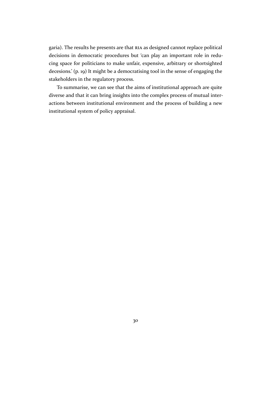garia). The results he presents are that RIA as designed cannot replace political decisions in democratic procedures but 'can play an important role in reducing space for politicians to make unfair, expensive, arbitrary or shortsighted decesions.' (p. 19) It might be a democr[atisi](#page-8-0)ng tool in the sense of engaging the stakeholders in the regulatory process.

To summarise, we can see that the aims of institutional approach are quite diverse and that it can bring insights into the complex process of mutual interactions between institutional environment and the process of building a new institutional system of policy appraisal.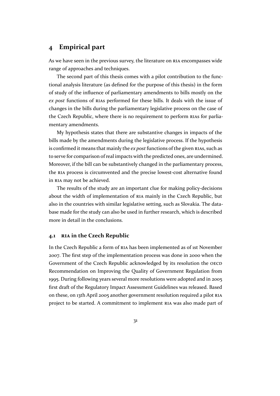### <span id="page-30-0"></span>**4 Empirical part**

As we have seen in the previous survey, the literature on RIA encompasses wide range of approaches and techniques.

The second part of this thesis comes with a pilot contribution to the functional analysis literature (as defined for the purpose of t[his](#page-8-0) thesis) in the form of study of the influence of parliamentary amendments to bills mostly on the *ex post* functions of RIAs performed for these bills. It deals with the issue of changes in the bills during the parliamentary legislative process on the case of the Czech Republic, where there is no requirement to perform RIAs for parliamentary amendmen[ts.](#page-8-0)

My hypothesis states that there are substantive changes in impacts of the bills made by the amendments during the legislative process. If [the h](#page-8-0)ypothesis is confirmed it means that mainly the *ex post*functions of the given RIAs, such as to serve for comparison of real impacts with the predicted ones, are undermined. Moreover, if the bill can be substantively changed in the parliamentary process, the RIA process is circumvented and the precise lowest-cost alter[nativ](#page-8-0)e found in RIA may not be achieved.

The results of the study are an important clue for making policy-decisions abo[ut t](#page-8-0)he width of implementation of RIA mainly in the Czech Republic, but al[so in](#page-8-0) the countries with similar legislative setting, such as Slovakia. The database made for the study can also be used in further research, which is described more in detail in the conclusions.

#### **4.1 RIA in the Czech Republic**

In the Czech Republic a form of RIA has been implemented as of 1st November 2007. [The](#page-8-0) first step of the implementation process was done in 2000 when the Government of the Czech Republic acknowledged by its resolution the OECD Recommendation on Improvin[g the](#page-8-0) Quality of Government Regulation from 1995. During following years several more resolutions were adopted and in 2005 first draft of the Regulatory Impact Assessment Guidelines was released. [Based](#page-8-0) on these, on 13th April 2005 another government resolution required a pilot RIA project to be started. A commitment to implement RIA was also made part of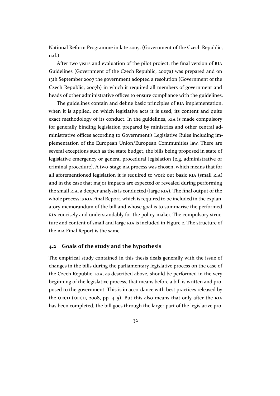<span id="page-31-0"></span>National Reform Programme in late 2005. (Government of the Czech Republic, n.d.)

After two years and evaluation of the pilot project, the final version of RIA Guidelines (Government of the Czech Republic, 2007a) was prepared and on [13th](#page-44-0) September 2007 the government adopted a resolution (Government of the Czech Republic, 2007b) in which it required all members of government [and](#page-8-0) heads of other administrative offices to ensure co[mplian](#page-44-0)ce with the guidelines.

The guidelines contain and define basic principles of RIA implementation, when it is appli[ed, on](#page-44-0) which legislative acts it is used, its content and quite exact methodology of its conduct. In the guidelines, RIA is made compulsory for generally binding legislation prepared by ministries [and](#page-8-0) other central administrative offices according to Government's Legislative Rules including implementation of the European Union/European Co[mmu](#page-8-0)nities law. There are several exceptions such as the state budget, the bills being proposed in state of legislative emergency or general procedural legislation (e.g. administrative or criminal procedure). A two-stage RIA process was chosen, which means that for all aforementioned legislation it is required to work out basic RIA (small RIA) and in the case that major impacts are expected or revealed during performing the small RIA, a deeper analysis is [con](#page-8-0)ducted (large RIA). The final output of the whole process is RIA Final Report, which is required to be includ[ed in](#page-8-0) the ex[plan](#page-8-0)atory memorandum of the bill and whose goal is to summarise the performed RIA conci[sely](#page-8-0) and understandably for the policy-[make](#page-8-0)r. The compulsory structure and conten[t of](#page-8-0) small and large RIA is included in Figure 2. The structure of the RIA Final Report is the same.

#### **4.2 Goals of the study and t[he h](#page-8-0)ypothesis**

The [em](#page-8-0)pirical study contained in this thesis deals generally with the issue of changes in the bills during the parliamentary legislative process on the case of the Czech Republic. RIA, as described above, should be performed in the very beginning of the legislative process, that means before a bill is written and proposed to the government. This is in accordance with best practices released by the OECD (OECD, 20[08,](#page-8-0) pp. 4–5). But this also means that only after the RIA has been completed, the bill goes through the larger part of the legislative pro-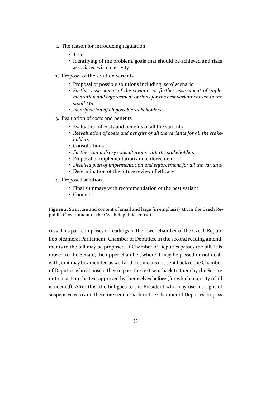- <span id="page-32-0"></span>1. The reason for introducing regulation
	- Title
	- Identifying of the problem, goals that should be achieved and risks associated with inactivity
- 2. Proposal of the solution variants
	- Proposal of possible solutions including 'zero' scenario
	- *Further assessment of the variants or further assessment of implementation and enforcement options for the best variant chosen in the small RIA*
	- *Identification of all possible stakeholders*
- 3. Evaluation of costs and benefits
	- Evalu[atio](#page-8-0)n of costs and benefits of all the variants
	- *Reevaluation of costs and benefits of all the variants for all the stakeholders*
	- Consultations
	- *Further compulsory consultations with the stakeholders*
	- Proposal of implementation and enforcement
	- *Detailed plan of implementation and enforcement for all the variants*
	- Determination of the future review of efficacy
- 4. Proposed solution
	- Final summary with recommendation of the best variant
	- Contacts

**Figure 2:** Structure and content of small and large (in emphasis) RIA in the Czech Republic (Government of the Czech Republic, 2007a)

cess. This part comprises of readings in the lower chamber [of th](#page-8-0)e Czech Republic's bicameral Parliament, Chamber of [Deputi](#page-44-0)es. In the second reading amendments to the bill may be proposed. If Chamber of Deputies passes the bill, it is moved to the Senate, the upper chamber, where it may be passed or not dealt with, or it may be amended as well and this means it is sent back to the Chamber of Deputies who choose either to pass the text sent back to them by the Senate or to insist on the text approved by themselves before (for which majority of all is needed). After this, the bill goes to the President who may use his right of suspensive veto and therefore send it back to the Chamber of Deputies, or pass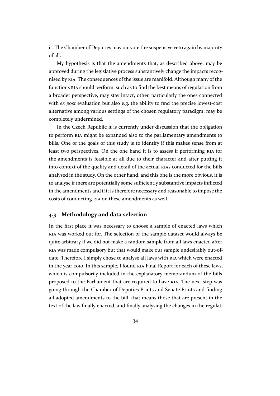it. The Chamber of Deputies may outvote the suspensive veto again by majority of all.

My hypothesis is that the amendments that, as described above, may be approved during the legislative process substantively change the impacts recognised by RIA. The consequences of the issue are manifold. Although many of the functions RIA should perform, such as to find the best means of regulation from a broader perspective, may stay intact, other, particularly the ones connected with *ex [post](#page-8-0)* evaluation but also e.g. the ability to find the precise lowest-cost alternativ[e am](#page-8-0)ong various settings of the chosen regulatory paradigm, may be completely undermined.

In the Czech Republic it is currently under discussion that the obligation to perform RIA might be expanded also to the parliamentary amendments to bills. One of the goals of this study is to identify if this makes sense from at least two perspectives. On the one hand it is to assess if performing RIA for the amend[men](#page-8-0)ts is feasible at all due to their character and after putting it into context of the quality and detail of the actual RIAs conducted for the bills analysed in the study. On the other hand, and this one is the more obvio[us,](#page-8-0) it is to analyse if there are potentially some sufficiently substantive impacts inflicted in the amendments and if it is therefore necessary a[nd re](#page-8-0)asonable to impose the costs of conducting RIA on these amendments as well.

#### **4.3 Methodology and data selection**

In the first place it [was](#page-8-0) necessary to choose a sample of enacted laws which RIA was worked out for. The selection of the sample dataset would always be quite arbitrary if we did not make a random sample from all laws enacted after RIA was made compulsory but that would make our sample undesirably out-of[date](#page-8-0). Therefore I simply chose to analyse all laws with RIA which were enacted in the year 2010. In this sample, I found RIA Final Report for each of these laws, [whi](#page-8-0)ch is compulsorily included in the explanatory memorandum of the bills proposed to the Parliament that are required to have [RIA](#page-8-0). The next step was going through the Chamber of Deputie[s Pr](#page-8-0)ints and Senate Prints and finding all adopted amendments to the bill, that means those that are present in the text of the law finally enacted, and finally analysing th[e cha](#page-8-0)nges in the regulat-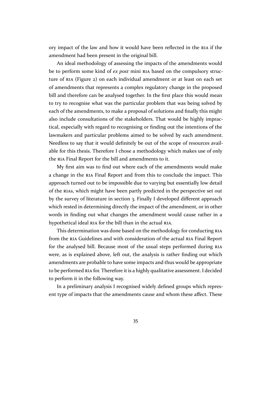ory impact of the law and how it would have been reflected in the RIA if the amendment had been present in the original bill.

An ideal methodology of assessing the impacts of the amendments would be to perform some kind of *ex post* mini RIA based on the compuls[ory](#page-8-0) structure of RIA (Figure 2) on each individual amendment or at least on each set of amendments that represents a complex regulatory change in the proposed bill and therefore can be analysed togethe[r. In](#page-8-0) the first place this would mean to try t[o re](#page-8-0)c[ognise wh](#page-32-0)at was the particular problem that was being solved by each of the amendments, to make a proposal of solutions and finally this might also include consultations of the stakeholders. That would be highly impractical, especially with regard to recognising or finding out the intentions of the lawmakers and particular problems aimed to be solved by each amendment. Needless to say that it would definitely be out of the scope of resources available for this thesis. Therefore I chose a methodology which makes use of only the RIA Final Report for the bill and amendments to it.

My first aim was to find out where each of the amendments would make a change in the RIA Final Report and from this to conclude the impact. This app[roac](#page-8-0)h turned out to be impossible due to varying but essentially low detail of the RIAs, which might have been partly predicted in the perspective set out by the survey of [lite](#page-8-0)rature in section 3. Finally I developed different approach which rested in determining directly the impact of the amendment, or in other words [in fi](#page-8-0)nding out what changes the amendment would cause rather in a hypothetical ideal RIA for the [bill than](#page-18-0) in the actual RIA.

This determination was done based on the methodology for conducting RIA from the RIA Guidelines and with consideration of the actual RIA Final Report for the analysed [bill.](#page-8-0) Because most of the usual st[eps](#page-8-0) performed during RIA were, as is explained above, left out, the analysis is rather finding out w[hich](#page-8-0) amendm[ents](#page-8-0) are probable to have some impacts and thus wou[ld be](#page-8-0) appropriate to be performed RIA for. Therefore it is a highly qualitative assessment. I deci[ded](#page-8-0) to perform it in the following way.

In a preliminary analysis I recognised widely defined groups which represent type of imp[acts](#page-8-0) that the amendments cause and whom these affect. These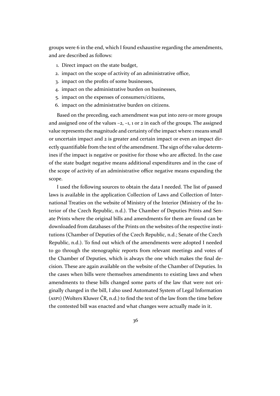groups were 6 in the end, which I found exhaustive regarding the amendments, and are described as follows:

- 1. Direct impact on the state budget,
- 2. impact on the scope of activity of an administrative office,
- 3. impact on the profits of some businesses,
- 4. impact on the administrative burden on businesses,
- 5. impact on the expenses of consumers/citizens,
- 6. impact on the administrative burden on citizens.

Based on the preceding, each amendment was put into zero or more groups and assigned one of the values  $-2$ ,  $-1$ , 1 or 2 in each of the groups. The assigned value represents the magnitude and certainty of the impact where 1 means small or uncertain impact and 2 is greater and certain impact or even an impact directly quantifiable from the text of the amendment. The sign of the value determines if the impact is negative or positive for those who are affected. In the case of the state budget negative means additional expenditures and in the case of the scope of activity of an administrative office negative means expanding the scope.

I used the following sources to obtain the data I needed. The list of passed laws is available in the application Collection of Laws and Collection of International Treaties on the website of Ministry of the Interior (Ministry of the Interior of the Czech Republic, n.d.). The Chamber of Deputies Prints and Senate Prints where the original bills and amendments for them are found can be downloaded from databases of the Prints on the websites of the respective institutions (Chamber of Deputies [of t](#page-47-0)he Czech Republic, n.d.; Senate of the Czech Republic, n.d.). To find out which of the amendments were adopted I needed to go through the stenographic reports from relevant meetings and votes of the Chamber of Deputies, which is always the one [which](#page-44-0) makes the final decision. Th[ese a](#page-49-0)re again available on the website of the Chamber of Deputies. In the cases when bills were themselves amendments to existing laws and when amendments to these bills changed some parts of the law that were not originally changed in the bill, I also used Automated System of Legal Information (ASPI) (Wolters Kluwer ČR, n.d.) to find the text of the law from the time before the contested bill was enacted and what changes were actually made in it.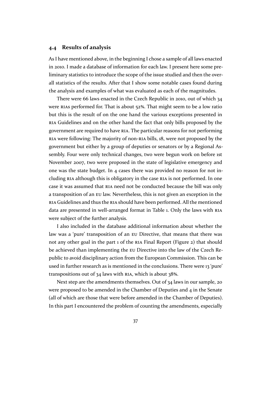#### <span id="page-36-0"></span>**4.4 Results of analysis**

As I have mentioned above, in the beginning I chose a sample of all laws enacted in 2010. I made a database of information for each law. I present here some preliminary statistics to introduce the scope of the issue studied and then the overall statistics of the results. After that I show some notable cases found during the analysis and examples of what was evaluated as each of the magnitudes.

There were 66 laws enacted in the Czech Republic in 2010, out of which 34 were RIAs performed for. That is about 52**%**. That might seem to be a low ratio but this is the result of on the one hand the various exceptions presented in RIA Guidelines and on the other hand the fact that only bills proposed by the gove[rnme](#page-8-0)nt are required to have RIA. The particular reasons for not performing RIA were following: The majority of non-RIA bills, 18, were not proposed by the [gove](#page-8-0)rnment but either by a group of deputies or senators or by a Regional Assembly. Four were only technica[l ch](#page-8-0)anges, two were begun work on before 1st [Nov](#page-8-0)ember 2007, two were proposed in [the](#page-8-0) state of legislative emergency and one was the state budget. In 4 cases there was provided no reason for not including RIA although this is obligatory in the case RIA is not performed. In one case it was assumed that RIA need not be conducted because the bill was only a transposition of an EU law. Nevertheless, this is not given an exception in the RIA Gui[delin](#page-8-0)es and thus the RIA should have been p[erfo](#page-8-0)rmed. All the mentioned data are presented in we[ll-ar](#page-8-0)ranged format in Table 1. Only the laws with RIA were subject of the f[urth](#page-8-0)er analysis.

I also included in the d[atab](#page-8-0)ase additional information about whether the law was a 'pure' transposition of an EU Direc[tive, tha](#page-37-0)t means that there [was](#page-8-0) not any other goal in the part 1 of the RIA Final Report (Figure 2) that should be achieved than implementing the EU Directive into the law of the Czech Republic to avoid disciplinary action fro[m t](#page-8-0)he European Commission. This can be used in further research as is mentione[d in](#page-8-0) the conclusio[ns. There](#page-32-0) were 13 'pure' transpositions out of 34 laws with RI[A, w](#page-8-0)hich is about 38**%**.

Next step are the amendments themselves. Out of 34 laws in our sample, 20 were proposed to be amended in the Chamber of Deputies and  $4$  in the Senate (all of which are those that were b[efor](#page-8-0)e amended in the Chamber of Deputies). In this part I encountered the problem of counting the amendments, especially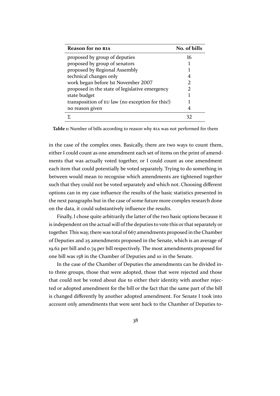<span id="page-37-0"></span>

| Reason for no RIA                                | No. of bills |
|--------------------------------------------------|--------------|
| proposed by group of deputies                    | 16           |
| proposed by group of senators                    |              |
| proposed by Regional Assembly                    |              |
| technical changes only                           | 4            |
| work began before 1st November 2007              | 2            |
| proposed in the state of legislative emergency   |              |
| state budget                                     |              |
| transposition of EU law (no exception for this!) |              |
| no reason given                                  |              |
|                                                  |              |

**Table 1:** Number of bills [acco](#page-8-0)rding to reason why RIA was not performed for them

in the case of the complex ones. Basically, there are two ways to count them, either I could count as one amendment each se[t of](#page-8-0) items on the print of amendments that was actually voted together, or I could count as one amendment each item that could potentially be voted separately. Trying to do something in between would mean to recognise which amendments are tightened together such that they could not be voted separately and which not. Choosing different options can in my case influence the results of the basic statistics presented in the next paragraphs but in the case of some future more complex research done on the data, it could substantively influence the results.

Finally, I chose quite arbitrarily the latter of the two basic options because it is independent on the actual will of the deputies to vote this or that separately or together. This way, there was total of 667 amendments proposed in the Chamber of Deputies and 25 amendments proposed in the Senate, which is an average of 19.62 per bill and 0.74 per bill respectively. The most amendments proposed for one bill was 158 in the Chamber of Deputies and 10 in the Senate.

In the case of the Chamber of Deputies the amendments can be divided into three groups, those that were adopted, those that were rejected and those that could not be voted about due to either their identity with another rejected or adopted amendment for the bill or the fact that the same part of the bill is changed differently by another adopted amendment. For Senate I took into account only amendments that were sent back to the Chamber of Deputies to-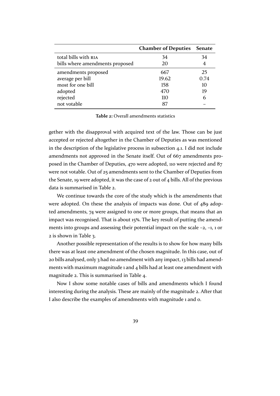<span id="page-38-0"></span>

|                                 | <b>Chamber of Deputies Senate</b> |      |
|---------------------------------|-----------------------------------|------|
| total bills with RIA            | 34                                | 34   |
| bills where amendments proposed | 20                                | 4    |
| amendments proposed             | 667                               | 25   |
| average per bill                | 19.62                             | 0.74 |
| most for one bill               | 158                               | 10   |
| adopted                         | 470                               | 19   |
| rejected                        | 110                               | 6    |
| not votable                     | 87                                |      |

**Table 2:** Overall amendments statistics

gether with the disapproval with acquired text of the law. Those can be just accepted or rejected altogether in the Chamber of Deputies as was mentioned in the description of the legislative process in subsection 4.1. I did not include amendments not approved in the Senate itself. Out of 667 amendments proposed in the Chamber of Deputies, 470 were adopted, 110 were rejected and 87 were not votable. Out of 25 amendments sent t[o the Chamber](#page-30-0) of Deputies from the Senate, 19 were adopted, it was the case of 2 out of 4 bills. All of the previous data is summarised in Table 2.

We continue towards the core of the study which is the amendments that were adopted. On these the analysis of impacts was done. Out of 489 adopted amendments, 74 were assigned to one or more groups, that means that an impact was recognised. That is about 15**%**. The key result of putting the amendments into groups and assessing their potential impact on the scale –2, –1, 1 or 2 is shown in Table 3.

Another possible representation of the results is to show for how many bills there was at least one amendment of the chosen magnitude. In this case, out of 20 bills analy[sed, only](#page-39-0) 3 had no amendment with any impact, 13 bills had amendments with maximum magnitude 1 and 4 bills had at least one amendment with magnitude 2. This is summarised in Table 4.

Now I show some notable cases of bills and amendments which I found interesting during the analysis. These are mainly of the magnitude 2. After that I also describe the examples of ame[ndments](#page-39-0) with magnitude 1 and 0.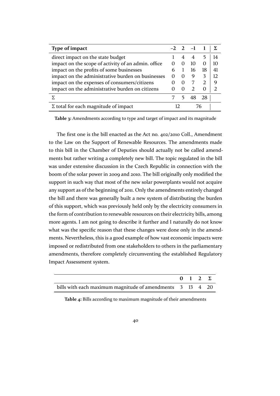<span id="page-39-0"></span>

| Type of impact                                      |                   |                | $-2$ 2 $-1$ |          |    |
|-----------------------------------------------------|-------------------|----------------|-------------|----------|----|
| direct impact on the state budget                   |                   | $\overline{4}$ | 4           | 5        | 14 |
| impact on the scope of activity of an admin. office | $\mathbf{\Omega}$ | $\Omega$       | 10          | $\Omega$ | 10 |
| impact on the profits of some businesses            | 6                 |                | 16          | 18       | 41 |
| impact on the administrative burden on businesses   | $\mathbf{\Omega}$ | $\Omega$       | 9           |          | 12 |
| impact on the expenses of consumers/citizens        |                   | 0              |             |          | 9  |
| impact on the administrative burden on citizens     |                   | $\Omega$       |             |          |    |
|                                                     |                   | 5.             | 48          | 28       |    |
| $\Sigma$ total for each magnitude of impact         |                   |                |             |          |    |

**Table 3:** Amendments according to type and target of impact and its magnitude

The first one is the bill enacted as the Act no. 402/2010 Coll., Amendment to the Law on the Support of Renewable Resources. The amendments made to this bill in the Chamber of Deputies should actually not be called amendments but rather writing a completely new bill. The topic regulated in the bill was under extensive discussion in the Czech Republic in connection with the boom of the solar power in 2009 and 2010. The bill originally only modified the support in such way that most of the new solar powerplants would not acquire any support as of the beginning of 2011. Only the amendments entirely changed the bill and there was generally built a new system of distributing the burden of this support, which was previously held only by the electricity consumers in the form of contribution to renewable resources on their electricity bills, among more agents. I am not going to describe it further and I naturally do not know what was the specific reason that these changes were done only in the amendments. Nevertheless, this is a good example of how vast economic impacts were imposed or redistributed from one stakeholders to others in the parliamentary amendments, therefore completely circumventing the established Regulatory Impact Assessment system.

|                                                           | $0 \quad 1 \quad 2 \quad \Sigma$ |  |
|-----------------------------------------------------------|----------------------------------|--|
| bills with each maximum magnitude of amendments 3 13 4 20 |                                  |  |

**Table 4:** Bills according to maximum magnitude of their amendments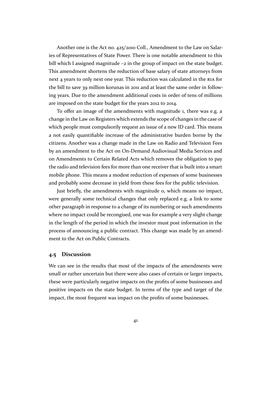<span id="page-40-0"></span>Another one is the Act no. 425/2010 Coll., Amendment to the Law on Salaries of Representatives of State Power. There is one notable amendment to this bill which I assigned magnitude –2 in the group of impact on the state budget. This amendment shortens the reduction of base salary of state attorneys from next 4 years to only next one year. This reduction was calculated in the RIA for the bill to save 39 million korunas in 2011 and at least the same order in following years. Due to the amendment additional costs in order of tens of millions are imposed on the state budget for the years 2012 to 2014.

To offer an image of the amendments with magnitude 1, there was e.g. a change in the Law on Registers which extends the scope of changes in the case of which people must compulsorily request an issue of a new ID card. This means a not easily quantifiable increase of the administrative burden borne by the citizens. Another was a change made in the Law on Radio and Television Fees by an amendment to the Act on On-Demand Audiovisual Media Services and on Amendments to Certain Related Acts which removes the obligation to pay the radio and television fees for more than one receiver that is built into a smart mobile phone. This means a modest reduction of expenses of some businesses and probably some decrease in yield from these fees for the public television.

Just briefly, the amendments with magnitude 0, which means no impact, were generally some technical changes that only replaced e.g. a link to some other paragraph in response to a change of its numbering or such amendments where no impact could be recongised, one was for example a very slight change in the length of the period in which the investor must post information in the process of announcing a public contract. This change was made by an amendment to the Act on Public Contracts.

#### **4.5 Discussion**

We can see in the results that most of the impacts of the amendments were small or rather uncertain but there were also cases of certain or larger impacts, these were particularly negative impacts on the profits of some businesses and positive impacts on the state budget. In terms of the type and target of the impact, the most frequent was impact on the profits of some businesses.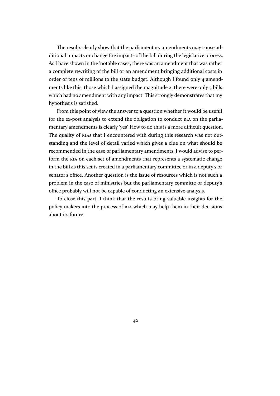The results clearly show that the parliamentary amendments may cause additional impacts or change the impacts of the bill during the legislative process. As I have shown in the 'notable cases', there was an amendment that was rather a complete rewriting of the bill or an amendment bringing additional costs in order of tens of millions to the state budget. Although I found only 4 amendments like this, those which I assigned the magnitude 2, there were only 3 bills which had no amendment with any impact. This strongly demonstrates that my hypothesis is satisfied.

From this point of view the answer to a question whether it would be useful for the ex-post analysis to extend the obligation to conduct RIA on the parliamentary amendments is clearly 'yes'. How to do this is a more difficult question. The quality of RIAs that I encountered with during this research was not outstanding and the level of detail varied which gives a clue o[n w](#page-8-0)hat should be recommended in the case of parliamentary amendments. I would advise to perform the RIA o[n eac](#page-8-0)h set of amendments that represents a systematic change in the bill as this set is created in a parliamentary committee or in a deputy's or senator's office. Another question is the issue of resources which is not such a problem [in th](#page-8-0)e case of ministries but the parliamentary committe or deputy's office probably will not be capable of conducting an extensive analysis.

To close this part, I think that the results bring valuable insights for the policy-makers into the process of RIA which may help them in their decisions about its future.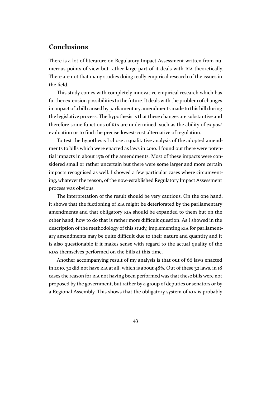### <span id="page-42-0"></span>**Conclusions**

There is a lot of literature on Regulatory Impact Assessment written from numerous points of view but rather large part of it deals with RIA theoretically. There are not that many studies doing really empirical research of the issues in the field.

This study comes with completely innovative empirical re[sear](#page-8-0)ch which has further extension possibilities to the future. It deals with the problem of changes in impact of a bill caused by parliamentary amendments made to this bill during the legislative process. The hypothesis is that these changes are substantive and therefore some functions of RIA are undermined, such as the ability of *ex post* evaluation or to find the precise lowest-cost alternative of regulation.

To test the hypothesis I chose a qualitative analysis of the adopted amendments to bills which were en[acte](#page-8-0)d as laws in 2010. I found out there were potential impacts in about 15**%** of the amendments. Most of these impacts were considered small or rather uncertain but there were some larger and more certain impacts recognised as well. I showed a few particular cases where circumventing, whatever the reason, of the now-established Regulatory Impact Assessment process was obvious.

The interpretation of the result should be very cautious. On the one hand, it shows that the fuctioning of RIA might be deteriorated by the parliamentary amendments and that obligatory RIA should be expanded to them but on the other hand, how to do that is rather more difficult question. As I showed in the description of the methodolog[y of](#page-8-0) this study, implementing RIA for parliamentary amendments may be quite di[fficu](#page-8-0)lt due to their nature and quantity and it is also questionable if it makes sense with regard to the actual quality of the RIAs themselves performed on the bills at this time.

Another accompanying result of my analysis is that out of 66 laws enacted in 2010, 32 did not have RIA at all, which is about 48**%**. Out of these 32 laws, in 18 [cases](#page-8-0) the reason for RIA not having been performed was that these bills were not proposed by the government, but rather by a group of deputies or senators or by a Regional Assembly. [This](#page-8-0) shows that the obligatory system of RIA is probably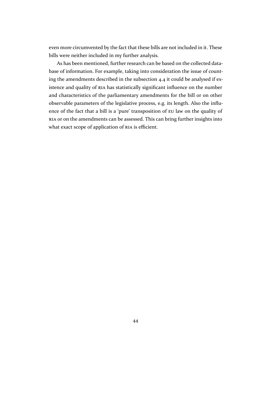even more circumvented by the fact that these bills are not included in it. These bills were neither included in my further analysis.

As has been mentioned, further research can be based on the collected database of information. For example, taking into consideration the issue of counting the amendments described in the subsection 4.4 it could be analysed if existence and quality of RIA has statistically significant influence on the number and characteristics of the parliamentary amendments for the bill or on other observable parameters of the legislati[ve process, e.g.](#page-36-0) its length. Also the influence of the fact that a [bil](#page-8-0)l is a 'pure' transposition of EU law on the quality of RIA or on the amendments can be assessed. This can bring further insights into what exact scope of application of RIA is efficient.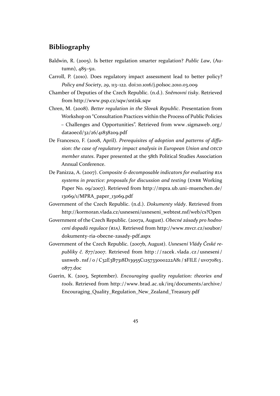### <span id="page-44-0"></span>**Bibliography**

- Baldwin, R. (2005). Is better regulation smarter regulation? *Public Law*, (Autumn), 485–511.
- Carroll, P. (2010). Does regulatory impact assessment lead to better policy? *Policy and Society*, *29*, 113–122. doi:10.1016/j.polsoc.2010.03.009
- Chamber of Deputies of the Czech Republic. (n.d.). *Sněmovní tisky*. Retrieved from http://www.psp.cz/sqw/sntisk.sqw
- Chren, M. (2008). *Better regulation in [the Slovak Republic](http://dx.doi.org/10.1016/j.polsoc.2010.03.009)*. Presentation from Workshop on "Consultation Practices within the Process of Public Policies – Ch[allenges and Opportunities". Retrie](http://www.psp.cz/sqw/sntisk.sqw)ved from www.sigmaweb.org/ dataoecd/32/26/41838209.pdf
- De Francesco, F. (2008, April). *Prerequisites of adoption and patterns of diffusion: the case of regulatory impact analysis in Eur[opean Union and](www.sigmaweb.org/dataoecd/32/26/41838209.pdf) OECD member states*[. Paper presente](www.sigmaweb.org/dataoecd/32/26/41838209.pdf)d at the 58th Political Studies Association Annual Conference.
- De Panizza, A. (2007). *Composite & decomposable indicators for evaluating RIA systems in practice: proposals for discussion and testing* (ENBR Working Paper No. 09/2007). Retrieved from http://mpra.ub.uni-muenchen.de/ 13069/1/MPRA\_paper\_13069.pdf
- Government of the Czech Republic. (n.d.). *Dokumenty vlády*. Retrieved from http://kormoran.vlada.cz/usneseni/[usneseni\\_webtest.nsf/web/cs?Open](http://mpra.ub.uni-muenchen.de/13069/1/MPRA_paper_13069.pdf)
- Gove[rnment of the Czech Republic. \(2](http://mpra.ub.uni-muenchen.de/13069/1/MPRA_paper_13069.pdf)007a, August). *Obecné zásady pro hodnocení dopadů regulace (RIA)*. Retrieved from http://www.mvcr.cz/soubor/ [dokumenty-ria-obecne-zasady-pdf.aspx](http://kormoran.vlada.cz/usneseni/usneseni_webtest.nsf/web/cs?Open)
- Government of the Czech Republic. (2007b, August). *Usnesení Vlády České republiky č. 877/2007*. Retrieved from http : [/ / racek . vlada . cz / usneseni /](http://www.mvcr.cz/soubor/dokumenty-ria-obecne-zasady-pdf.aspx) usnweb.nsf/o/C32E3B7318D13955C125733000222A81/\$FILE/uv070813. 0877.doc
- Guerin, K. (2003, September). *Encouragi[ng quality regulation: theories and](http://racek.vlada.cz/usneseni/usnweb.nsf/0/C32E3B7318D13955C125733000222A81/$FILE/uv070813.0877.doc) tools*. Retrieved from [http://www.brad.ac.uk/irq/documents/archive/](http://racek.vlada.cz/usneseni/usnweb.nsf/0/C32E3B7318D13955C125733000222A81/$FILE/uv070813.0877.doc) [Encourag](http://racek.vlada.cz/usneseni/usnweb.nsf/0/C32E3B7318D13955C125733000222A81/$FILE/uv070813.0877.doc)ing\_Quality\_Regulation\_New\_Zealand\_Treasury.pdf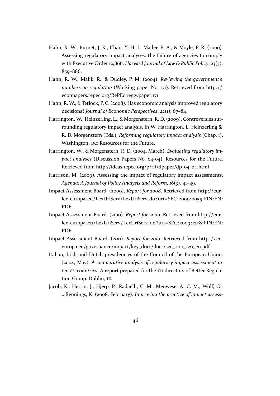- <span id="page-45-0"></span>Hahn, R. W., Burnet, J. K., Chan, Y.-H. I., Mader, E. A., & Moyle, P. R. (2000). Assessing regulatory impact analyses: the failure of agencies to comply with Executive Order 12,866. *Harvard Journal of Law & Public Policy*, *23*(3), 859–886.
- Hahn, R. W., Malik, R., & Dudley, P. M. (2004). *Reviewing the government's numbers on regulation* (Working paper No. 171). Retrieved from http:// econpapers.repec.org/RePEc:reg:wpaper:171
- Hahn, R. W., & Tetlock, P. C. (2008). Has economic analysis improved regulatory decisions? *Journal of Economic Perspectives*, *22*(1), 67–84.
- Harri[ngton, W., Heinzerling, L., & Morgenstern, R.](http://econpapers.repec.org/RePEc:reg:wpaper:171) D. (2009). Controversies surrounding regulatory impact analysis. In W. Harrington, L. Heinzerling & R. D. Morgenstern (Eds.), *Reforming regulatory impact analysis* (Chap. 1). Washington, DC: Resources for the Future.
- Harrington, W., & Morgenstern, R. D. (2004, March). *Evaluating regulatory impact analyses* (Discussion Papers No. 04-04). Resources for the Future. Retrieved from http://ideas.repec.org/p/rff/dpaper/dp-04-04.html
- Harrison, M. (2009). Assessing the impact of regulatory impact assessments. *Agenda: A Journal of Policy Analysis and Reform*, *16*(3), 41–49.
- Impact Assessment Board. (2009). *Report for 2008*[. Retrieved from](http://ideas.repec.org/p/rff/dpaper/dp-04-04.html) http://eurlex.europa.eu/LexUriServ/LexUriServ.do?uri=SEC:2009:0055:FIN:EN: PDF
- Impact Assessment Board. (2010). *Report for 2009*. Retrieved from [http://eur](http://eur-lex.europa.eu/LexUriServ/LexUriServ.do?uri=SEC:2009:0055:FIN:EN:PDF)[lex.europa.eu/LexUriServ/LexUriServ.do?uri=SEC:2009:1728:FIN:EN:](http://eur-lex.europa.eu/LexUriServ/LexUriServ.do?uri=SEC:2009:0055:FIN:EN:PDF) [PDF](http://eur-lex.europa.eu/LexUriServ/LexUriServ.do?uri=SEC:2009:0055:FIN:EN:PDF)
- Impact Assessment Board. (2011). *Report for 2010*. Retrieved from [http://ec.](http://eur-lex.europa.eu/LexUriServ/LexUriServ.do?uri=SEC:2009:1728:FIN:EN:PDF) [europa.eu/governance/impact/key\\_docs/docs/sec\\_2011\\_126\\_en.pdf](http://eur-lex.europa.eu/LexUriServ/LexUriServ.do?uri=SEC:2009:1728:FIN:EN:PDF)
- Italia[n, Iri](http://eur-lex.europa.eu/LexUriServ/LexUriServ.do?uri=SEC:2009:1728:FIN:EN:PDF)sh and Dutch presidencies of the Council of the European Union. (2004, May). *A comparative analysis of regulatory impact ass[essment in](http://ec.europa.eu/governance/impact/key_docs/docs/sec_2011_126_en.pdf) ten EU countries*[. A report prepared for the](http://ec.europa.eu/governance/impact/key_docs/docs/sec_2011_126_en.pdf) EU directors of Better Regulation Group. Dublin, IE.
- Jacob, K., Hertin, J., Hjerp, P., Radaelli, C. M., Meuwese, A. C. M., Wolf, O., …Rennings, K. (2008, February). *Improving the practice of impact assess-*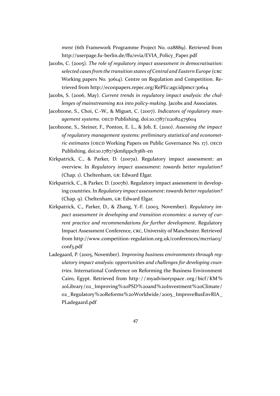*ment* (6th Framework Programme Project No. 028889). Retrieved from http://userpage.fu-berlin.de/ffu/evia/EVIA\_Policy\_Paper.pdf

- <span id="page-46-0"></span>Jacobs, C. (2005). *The role of regulatory impact assessment in democratisation: selected cases from the transition states of Central and Eastern Europe* (CRC [Working papers No. 30614\). Centre on Regulation and Comp](http://userpage.fu-berlin.de/ffu/evia/EVIA_Policy_Paper.pdf)etition. Retrieved from http://econpapers.repec.org/RePEc:ags:idpmcr:30614
- Jacobs, S. (2006, May). *Current trends in regulatory impact analysis: the challenges of mainstreaming RIA into policy-making*. Jacobs and Associates.
- Jacobzone, S., Cho[i, C.-W., & Miguet, C. \(2007\).](http://econpapers.repec.org/RePEc:ags:idpmcr:30614) *Indicators of regulatory management systems*. OECD Publishing. doi:10.1787/112082475604
- Jacobzone, S., Steiner, F., Ponton, E. L., & Job, E. (2010). *Assessing the impact of regulatory management systems: preliminary statistical and econometric estimates* (OECD Working Papers on [Public Governance N](http://dx.doi.org/10.1787/112082475604)o. 17). OECD Publishing. doi:10.1787/5kmfq1pch36h-en
- Kirkpatrick, C., & Parker, D. (2007a). Regulatory impact assessment: an overview. In *Regulatory impact assessment: towards better regulation?* (Chap. 1). Cheltenham, [GB: Edward Elgar.](http://dx.doi.org/10.1787/5kmfq1pch36h-en)
- Kirkpatrick, C., & Parker, D. (2007b). Regulatory impact assessment in developing countries. In *Regulatory impact assessment: towards better regulation?* (Chap. 9). Cheltenham, GB: Edward Elgar.
- Kirkpatrick, C., Parker, D., & Zhang, Y.-F. (2003, November). *Regulatory impact assessment in developing and transition economies: a survey of current practice and recommendations for further development*. Regulatory Impact Assessment Conference, CRC, University of Manchester. Retrieved from http://www.competition-regulation.org.uk/conferences/mcrria03/ conf3.pdf
- Ladegaard, P. (2005, November). *Improving business environments through regulato[ry impact analysis: opportunities and challenges for developing coun](http://www.competition-regulation.org.uk/conferences/mcrria03/conf3.pdf)tries*[. Inte](http://www.competition-regulation.org.uk/conferences/mcrria03/conf3.pdf)rnational Conference on Reforming the Business Environment Cairo, Egypt. Retrieved from http : / / myadvisoryspace . org / bicf / KM % 20Library/02\_Improving%20PSD%20and%20Investment%20Climate/ 02\_Regulatory%20Reforms%20Worldwide/2005\_ImproveBusEnvRIA\_ PLadegaard.pdf
	- [47](http://myadvisoryspace.org/bicf/KM%20Library/02_Improving%20PSD%20and%20Investment%20Climate/02_Regulatory%20Reforms%20Worldwide/2005_ImproveBusEnvRIA_PLadegaard.pdf)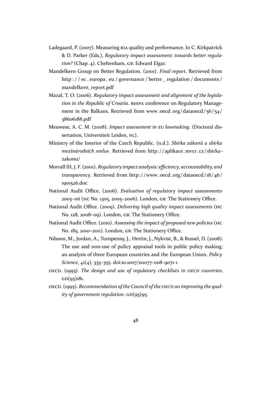- <span id="page-47-0"></span>Ladegaard, P. (2007). Measuring RIA quality and performance. In C. Kirkpatrick & D. Parker (Eds.), *Regulatory impact assessment: towards better regulation?* (Chap. 4). Cheltenham, GB: Edward Elgar.
- Mandelkern Group on Better Regulation. (2001). *Final report*. Retrieved from http : / / ec. europa. eu / governance / better regulation / documents / mandelkern\_report.pdf
- Mazal, T. O. (2006). *Regulatory impact assessment and alignment of the legislation in the Republic of Croatia*. ReSPA [conference on Regulatory Manage](http://ec.europa.eu/governance/better_regulation/documents/mandelkern_report.pdf)[ment in the Balkans. R](http://ec.europa.eu/governance/better_regulation/documents/mandelkern_report.pdf)etrieved from www.oecd.org/dataoecd/56/54/ 38606188.pdf
- Meuwese, A. C. M. (2008). *Impact assessment in EU lawmaking*. (Doctoral dissertation, Universiteit Leiden, NL).
- Minis[try of the Int](www.oecd.org/dataoecd/56/54/38606188.pdf)erior of the Czech Republic. (n.d.). *Sbírka zákonů a sbírka mezinárodních smluv*. Retrieved from http://aplikace.mvcr.cz/sbirkazakonu/
- Morrall III, J. F. (2001). *Regulatory impact analysis: efficiency, accountability, and transparency*. Retrieved from http://[www.oecd.org/dataoecd/18/46/](http://aplikace.mvcr.cz/sbirka-zakonu/) [1901526.d](http://aplikace.mvcr.cz/sbirka-zakonu/)oc
- National Audit Office. (2006). *Evaluation of regulatory impact assessments 2005–06* (HC No. 1305, 2005–2006). London, [GB: The Stationery Office.](http://www.oecd.org/dataoecd/18/46/1901526.doc)
- Natio[nal Audit O](http://www.oecd.org/dataoecd/18/46/1901526.doc)ffice. (2009). *Delivering high quality impact assessments* (HC No. 128, 2008–09). London, GB: The Stationery Office.
- National Audit Office. (2010). *Assessing the impact of proposed new policies* (HC No. 185, 2010-2011). London, GB: The Stationery Office.
- Nilsson, M., Jordan, A., Turnpenny, J., Hertin, J., Nykvist, B., & Russel, D. (2008). The use and non-use of policy appraisal tools in public policy making: an analysis of three European countries and the European Union. *Policy Science*, *41*(4), 335–355. doi:10.1007/s11077-008-9071-1
- OECD. (1993). *The design and use of regulatory checklists in OECD countries*.  $GD(93)181.$
- OECD. (1995). *Recommendation o[f the Council of the](http://dx.doi.org/10.1007/s11077-008-9071-1) OECD on improving the quality of government regulation*. GD(95)95.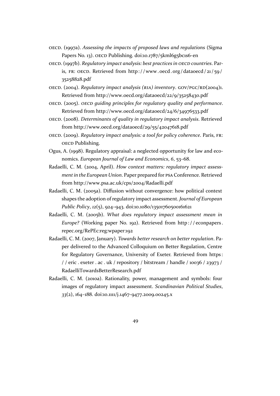- <span id="page-48-0"></span>OECD. (1997a). *Assessing the impacts of proposed laws and regulations* (Sigma Papers No. 13). OECD Publishing. doi:10.1787/5kml6g5bc1s6-en
- OECD. (1997b). *Regulatory impact analysis: best practices in OECD countries*. Paris, FR: OECD. Retrieved from http://www.oecd.org/dataoecd/21/59/ 35258828.pdf
- OECD. (2004). *Regulatory impact analysis (RIA) inventory*. GOV/PGC/RD(2004)1. Retrieved from http://www.o[ecd.org/dataoecd/22/9/35258430.pdf](http://www.oecd.org/dataoecd/21/59/35258828.pdf)
- OECD[. \(2005\).](http://www.oecd.org/dataoecd/21/59/35258828.pdf) *OECD guiding principles for regulatory quality and performance*. Retrieved from http://www.oecd.org/dataoecd/24/6/34976533.pdf
- OECD. (2008). *Deter[minants of quality in regulatory impact analysis](http://www.oecd.org/dataoecd/22/9/35258430.pdf)*. Retrieved from http://www.oecd.org/dataoecd/29/55/42047618.pdf
- OECD. (2009). *Regula[tory impact analysis: a tool for policy coherence](http://www.oecd.org/dataoecd/24/6/34976533.pdf)*. Paris, FR: OECD Publishing.
- Ogus, A. (1[998\). Regulatory appraisal: a neglected opportunity f](http://www.oecd.org/dataoecd/29/55/42047618.pdf)or law and economics. *European Journal of Law and Economics*, *6*, 53–68.
- Radaelli, C. M. (2004, April). *How context matters: regulatory impact assessment in the European Union*. Paper prepared for PSA Conference. Retrieved from http://www.psa.ac.uk/cps/2004/Radaelli.pdf
- Radaelli, C. M. (2005a). Diffusion without convergence: how political context shapes the adoption of regulatory impact assessment. *Journal of European Public Policy*, *12*[\(5\), 924–943. doi:10.1080/135017605](http://www.psa.ac.uk/cps/2004/Radaelli.pdf)00161621
- Radaelli, C. M. (2005b). *What does regulatory impact assessment mean in Europe?* (Working paper No. 192). Retrieved from http : / / econpapers . repec.org/RePEc:reg:wpaper:192
- Radaelli, C. M. (2007, January). *Towards better research on better regulation*. Paper delivered to the Advanced Colloquium on Bette[r Regulation, Centre](http://econpapers.repec.org/RePEc:reg:wpaper:192) [for Regulatory Governance, Uni](http://econpapers.repec.org/RePEc:reg:wpaper:192)versity of Exeter. Retrieved from https: // eric. exeter . ac. uk/repository/bitstream/handle/10036/23973/ RadaelliTowardsBetterResearch.pdf
- Radaelli, C. M. (2010a). Rationality, power, management and symbol[s: four](https://eric.exeter.ac.uk/repository/bitstream/handle/10036/23973/RadaelliTowardsBetterResearch.pdf) [images of regulatory impact assessment.](https://eric.exeter.ac.uk/repository/bitstream/handle/10036/23973/RadaelliTowardsBetterResearch.pdf) *Scandinavian Political Studies*, *33*[\(2\), 164–188. doi:10.1111/j.1467-9477](https://eric.exeter.ac.uk/repository/bitstream/handle/10036/23973/RadaelliTowardsBetterResearch.pdf).2009.00245.x
	- [49](http://dx.doi.org/10.1111/j.1467-9477.2009.00245.x)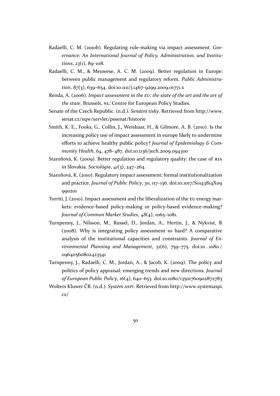- <span id="page-49-0"></span>Radaelli, C. M. (2010b). Regulating rule-making via impact assessment. *Governance: An International Journal of Policy, Administration, and Institutions*, *23*(1), 89–108.
- Radaelli, C. M., & Meuwese, A. C. M. (2009). Better regulation in Europe: between public management and regulatory reform. *Public Administration*, *87*(3), 639–654. doi:10.1111/j.1467-9299.2009.01771.x
- Renda, A. (2006). *Impact assessment in the EU: the state of the art and the art of the state*. Brussels, NL: Centre for European Policy Studies.
- Senate of the Czech Republic. (n.d.). *[Senátní tisky](http://dx.doi.org/10.1111/j.1467-9299.2009.01771.x)*. Retrieved from http://www. senat.cz/xqw/xervlet/pssenat/historie
- Smith, K. E., Fooks, G., Collin, J., Weishaar, H., & Gilmore, A. B. (2010). Is the increasing policy use of impact assessment in europe likely t[o undermine](http://www.senat.cz/xqw/xervlet/pssenat/historie) [efforts to achieve healthy public polic](http://www.senat.cz/xqw/xervlet/pssenat/historie)y? *Journal of Epidemiology & Community Health*, *64*, 478–487. doi:10.1136/jech.2009.094300
- Staroňová, K. (2009). Better regulation and regulatory quality: the case of RIA in Slovakia. *Sociológia*, *41*(3), 247–264.
- Staroňová, K. (2010). Regulatory impac[t assessment: formal insti](http://dx.doi.org/10.1136/jech.2009.094300)tutionalization and practice. *Journal of Public Policy*, *30*, 117–136. doi:10.1017/S0143814X09 990201
- Torriti, J. (2010). Impact assessment and the liberalization of the EU energy markets: evidence-based policy-making or policy-base[d evidence-making?](http://dx.doi.org/10.1017/S0143814X09990201) *[Journal](http://dx.doi.org/10.1017/S0143814X09990201) of Common Market Studies*, *48*(4), 1065–1081.
- Turnpenny, J., Nilsson, M., Russel, D., Jordan, A., Hertin, J., & Nykvist, B. (2008). Why is integrating policy assessment so hard? A comparative analysis of the institutional capacities and constraints. *Journal of Environmental Planning and Management*, *51*(6), 759–775. doi:10 . 1080 / 09640560802423541

Turnpenny, J., Radaelli, C. M., Jordan, A., & Jacob, K. (2009). The policy and politics of policy appraisal: emerging trends and new directions. *[Journal](http://dx.doi.org/10.1080/09640560802423541) [of European Public P](http://dx.doi.org/10.1080/09640560802423541)olicy*, *16*(4), 640–653. doi:10.1080/13501760902872783

Wolters Kluwer ČR. (n.d.). *Systém ASPI*. Retrieved from http://www.systemaspi. cz/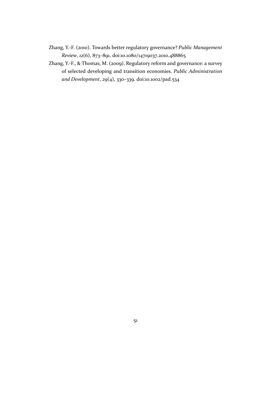- <span id="page-50-0"></span>Zhang, Y.-F. (2010). Towards better regulatory governance? *Public Management Review*, *12*(6), 873–891. doi:10.1080/14719037.2010.488865
- Zhang, Y.-F., & Thomas, M. (2009). Regulatory reform and governance: a survey of selected developing and transition economies. *Public Administration and Development*, *29*(4), 3[30–339. doi:10.1002/pad.534](http://dx.doi.org/10.1080/14719037.2010.488865)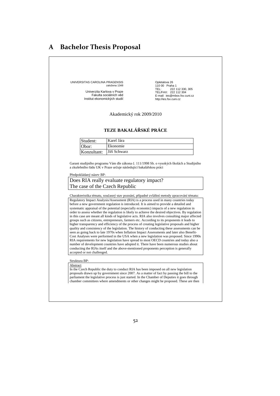## **A Bachelor Thesis Proposal**

UNIVERSITAS CAROLINA PRAGENSIS založena 1348

> Univerzita Karlova v Praze Fakulta sociálních věd Institut ekonomických studií

Opletalova 26 110 00 Praha 1 TEL: 222 112 330, 305 TEL/FAX: 222 112 304 E-mail: ies@mbox.fsv.cuni.cz http://ies.fsv.cuni.cz

Akademický rok 2009/2010

#### **TEZE BAKALÁSKÉ PRÁCE**

| Student:    | Karel Jára   |
|-------------|--------------|
| :Dhor       | Ekonomie     |
| Konzultant: | Jiří Schwarz |

Garant studijního programu Vám dle zákona č. 111/1998 Sb. o vysokých školách a Studijního a zkušebního řádu UK v Praze určuje následující bakalářskou práci

#### Předpokládaný název BP:

Does RIA really evaluate regulatory impact? The case of the Czech Republic

Charakteristika tématu, současný stav poznání, případné zvláštní metody zpracování tématu: Regulatory Impact Analysis/Assessment (RIA) is a process used in many countries today before a new government regulation is introduced. It is aimed to provide a detailed and systematic appraisal of the potential (especially economic) impacts of a new regulation in order to assess whether the regulation is likely to achieve the desired objectives. By regulation in this case are meant all kinds of legislative acts. RIA also involves consulting major affected groups such as citizens, entrepreneurs, farmers etc. According to its proponents it leads to higher transparency and efficiency of the process of creating legislative proposals and higher quality and consistency of the legislation. The history of conducting these assessments can be seen as going back to late 1970s when Inflation Impact Assessments and later also Benefit-Cost Analyses were performed in the USA when a new legislation was proposed. Since 1990s RIA requirements for new legislation have spread to most OECD countries and today also a number of development countries have adopted it. There have been numerous studies about conducting the RIAs itself and the above-mentioned proponents perception is generally accepted or not challenged.

#### Struktura BP:

Abstract In the Czech Republic the duty to conduct RIA has been imposed on all new legislation proposals drawn up by government since 2007. As a matter of fact by passing the bill to the parliament the legislative process is just started. In the Chamber of Deputies it goes through chamber committees where amendments or other changes might be proposed. These are then